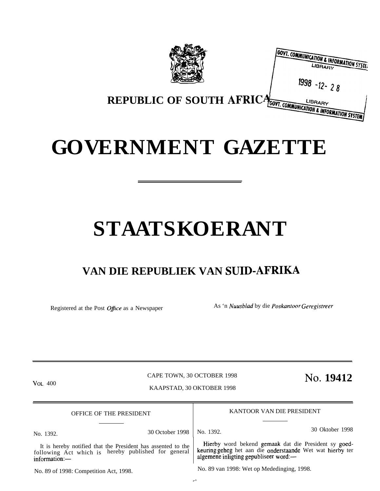|                                                             | <b>COVT. COMMUNICATION &amp; INFORMATION SYSTE:</b><br>LIBRARY |
|-------------------------------------------------------------|----------------------------------------------------------------|
|                                                             | 1998 -12- 2 8                                                  |
| REPUBLIC OF SOUTH AFRICA COMMUNICATION & INFORMATION SYSTEM |                                                                |

# **GOVERNMENT GAZETTE**

# **STAATSKOERANT**

## **VAN DIE REPUBLIEK VAN SUID-AFRIKA**

Registered at the Post Office as a Newspaper As 'n Nuusblad by die Poskantoor Geregistreer

VOL. 400 **No. 19412**<br>VOL. 400 No. 2001 No. 2002 No. 2002 No. 2004 No. 2004 No. 2004 No. 2004 No. 2004 No. 2004 No. 2004 No. 2004 No. 2004 No. 2004 No. 2004 No. 2004 No. 2004 No. 2004 No. 2004 No. 2004 No. 2004 No. 2004 No.

.,

KAAPSTAD, 30 OKTOBER 1998

OFFICE OF THE PRESIDENT KANTOOR VAN DIE PRESIDENT

No. 1392. 30 October 1998 No. 1392. 30 Oktober 1998

It is hereby notified that the President has assented to the Hierby word bekend gemaak dat die President sy goed-<br>Illowing Act which is hereby published for general keuring geheg het aan die onderstaande Wet wat hierby ter following Act which is hereby published for general information:—

No. 89 of 1998: Competition Act, 1998. No. 89 van 1998: Wet op Mededinging, 1998.

algemene inligting gepubliseer word:—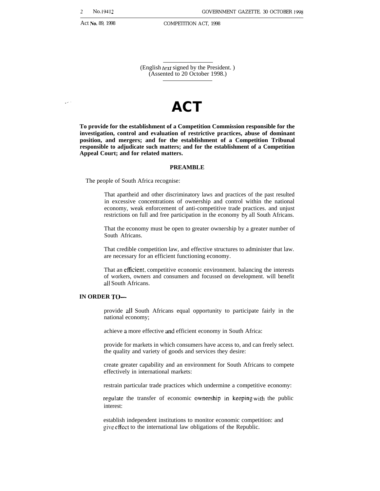(English text signed by the President. ) (Assented to 20 October 1998.)

# ..- **ACT**

**To provide for the establishment of a Competition Commission responsible for the investigation, control and evaluation of restrictive practices, abuse of dominant position, and mergers; and for the establishment of a Competition Tribunal responsible to adjudicate such matters; and for the establishment of a Competition Appeal Court; and for related matters.**

#### **PREAMBLE**

The people of South Africa recognise:

That apartheid and other discriminatory laws and practices of the past resulted in excessive concentrations of ownership and control within the national economy, weak enforcement of anti-competitive trade practices. and unjust restrictions on full and free participation in the economy by all South Africans.

That the economy must be open to greater ownership by a greater number of South Africans.

That credible competition law, and effective structures to administer that law. are necessary for an efficient functioning economy.

That an eflicient, competitive economic environment. balancing the interests of workers, owners and consumers and focussed on development. will benefit all South Africans.

#### **IN ORDER TO—**

provide all South Africans equal opportunity to participate fairly in the national economy;

achieve a more effective and efficient economy in South Africa:

provide for markets in which consumers have access to, and can freely select. the quality and variety of goods and services they desire:

create greater capability and an environment for South Africans to compete effectively in international markets:

restrain particular trade practices which undermine a competitive economy:

regulate the transfer of economic ownership in keeping with the public interest:

establish independent institutions to monitor economic competition: and give effect to the international law obligations of the Republic.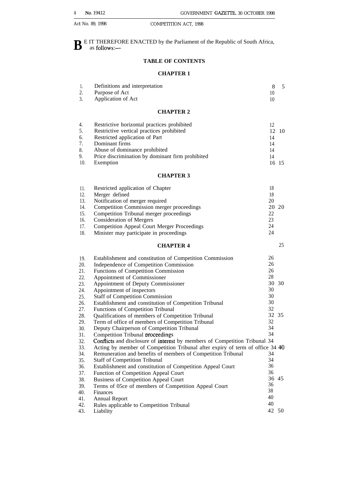**B** E IT THEREFORE ENACTED by the Parliament of the Republic of South Africa, as follows: as follows:—

## **TABLE OF CONTENTS**

#### **CHAPTER 1**

| 1.<br>2.<br>3.                                                                   | Definitions and interpretation<br>Purpose of Act<br>Application of Act                                                                                                                                                                                                                                                                                                                                                                                                                                                                       | 8<br>10<br>10                                                           | 5           |
|----------------------------------------------------------------------------------|----------------------------------------------------------------------------------------------------------------------------------------------------------------------------------------------------------------------------------------------------------------------------------------------------------------------------------------------------------------------------------------------------------------------------------------------------------------------------------------------------------------------------------------------|-------------------------------------------------------------------------|-------------|
|                                                                                  | <b>CHAPTER 2</b>                                                                                                                                                                                                                                                                                                                                                                                                                                                                                                                             |                                                                         |             |
| 4.<br>5.<br>6.<br>7.<br>8.<br>9.<br>10.                                          | Restrictive horizontal practices prohibited<br>Restrictive vertical practices prohibited<br>Restricted application of Part<br>Dominant firms<br>Abuse of dominance prohibited<br>Price discrimination by dominant firm prohibited<br>Exemption                                                                                                                                                                                                                                                                                               | 12<br>12<br>14<br>14<br>14<br>14                                        | 10<br>16 15 |
|                                                                                  | <b>CHAPTER 3</b>                                                                                                                                                                                                                                                                                                                                                                                                                                                                                                                             |                                                                         |             |
| 11.<br>12.<br>13.<br>14.<br>15.<br>16.<br>17.<br>18.                             | Restricted application of Chapter<br>Merger defined<br>Notification of merger required<br>Competition Commission merger proceedings<br>Competition Tribunal merger proceedings<br><b>Consideration of Mergers</b><br><b>Competition Appeal Court Merger Proceedings</b><br>Minister may participate in proceedings                                                                                                                                                                                                                           | 18<br>18<br>20<br>20<br>22<br>23<br>24<br>24                            | 20          |
|                                                                                  | <b>CHAPTER 4</b>                                                                                                                                                                                                                                                                                                                                                                                                                                                                                                                             |                                                                         | 25          |
| 19.<br>20.<br>21.<br>22.<br>23.<br>24.<br>25.<br>26.<br>27.<br>28.<br>29.<br>30. | Establishment and constitution of Competition Commission<br>Independence of Competition Commission<br>Functions of Competition Commission<br>Appointment of Commissioner<br>Appointment of Deputy Commissioner<br>Appointment of inspectors<br><b>Staff of Competition Commission</b><br>Establishment and constitution of Competition Tribunal<br>Functions of Competition Tribunal<br>Qualifications of members of Competition Tribunal<br>Term of office of members of Competition Tribunal<br>Deputy Chairperson of Competition Tribunal | 26<br>26<br>26<br>28<br>30<br>30<br>30<br>30<br>32<br>32 35<br>32<br>34 | 30          |
| 31.<br>32.<br>33.<br>34.<br>35.<br>36.<br>37.<br>38.<br>39.                      | Competition Tribunal proceedings<br>Conflicts and disclosure of interest by members of Competition Tribunal 34<br>Acting by member of Competition Tribunal after expiry of term of office 34 40<br>Remuneration and benefits of members of Competition Tribunal<br><b>Staff of Competition Tribunal</b><br>Establishment and constitution of Competition Appeal Court<br>Function of Competition Appeal Court<br><b>Business of Competition Appeal Court</b><br>Terms of 05ce of members of Competition Appeal Court                         | 34<br>34<br>34<br>36<br>36<br>36                                        | 36 45       |
| 40.<br>41.<br>42.<br>43.                                                         | Finances<br><b>Annual Report</b><br>Rules applicable to Competition Tribunal<br>Liability                                                                                                                                                                                                                                                                                                                                                                                                                                                    | 38<br>40<br>40                                                          | 42 50       |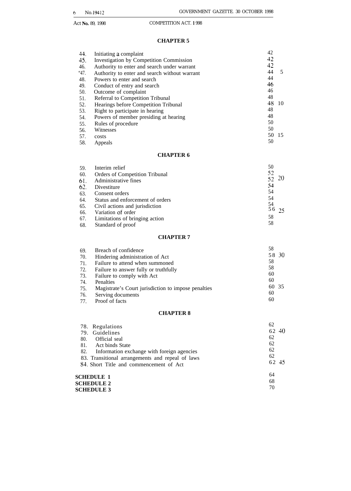**SCHEDULE 3**

#### **CHAPTER 5**

| 44.  | Initiating a complaint                        | 42 |    |
|------|-----------------------------------------------|----|----|
| 45.  | Investigation by Competition Commission       | 42 |    |
| 46.  | Authority to enter and search under warrant   | 42 |    |
| "47. | Authority to enter and search without warrant | 44 | 5  |
| 48.  | Powers to enter and search                    | 44 |    |
| 49.  | Conduct of entry and search                   | 46 |    |
| 50.  | Outcome of complaint                          | 46 |    |
| 51.  | Referral to Competition Tribunal              | 48 |    |
| 52.  | Hearings before Competition Tribunal          | 48 | 10 |
| 53.  | Right to participate in hearing               | 48 |    |
| 54.  | Powers of member presiding at hearing         | 48 |    |
| 55.  | Rules of procedure                            | 50 |    |
| 56.  | Witnesses                                     | 50 |    |
| 57.  | costs                                         | 50 | 15 |
| 58.  | Appeals                                       | 50 |    |

#### **CHAPTER 6**

| 59. | Interim relief                   | 50           |  |
|-----|----------------------------------|--------------|--|
| 60. | Orders of Competition Tribunal   | 52           |  |
| 61. | Administrative fines             | 52 20        |  |
| 62. | Divestiture                      | 54           |  |
| 63. | Consent orders                   | 54           |  |
| 64. | Status and enforcement of orders | 54           |  |
| 65. | Civil actions and jurisdiction   | 54<br>56, 25 |  |
| 66. | Variation of order               |              |  |
| 67. | Limitations of bringing action   | 58           |  |
| 68. | Standard of proof                | 58           |  |

#### **CHAPTER 7**

| Breach of confidence                                | 58    |
|-----------------------------------------------------|-------|
| Hindering administration of Act                     | 58 30 |
| Failure to attend when summoned                     | 58    |
| Failure to answer fully or truthfully               | 58    |
| Failure to comply with Act                          | 60    |
| Penalties                                           | 60    |
| Magistrate's Court jurisdiction to impose penalties | 60 35 |
| Serving documents                                   | 60    |
| Proof of facts                                      | 60    |
|                                                     |       |

#### **CHAPTER 8**

| 78. Regulations<br>Guidelines<br>79.<br>Official seal<br>80.                                                                                                               | 62<br>62 40<br>62       |
|----------------------------------------------------------------------------------------------------------------------------------------------------------------------------|-------------------------|
| 81.<br>Act binds State<br>82.<br>Information exchange with foreign agencies<br>83. Transitional arrangements and repeal of laws<br>84. Short Title and commencement of Act | 62<br>62<br>62<br>62 45 |
| <b>SCHEDULE 1</b><br><b>SCHEDULE 2</b><br>SCHEDIII E 3                                                                                                                     | 64<br>68<br>70          |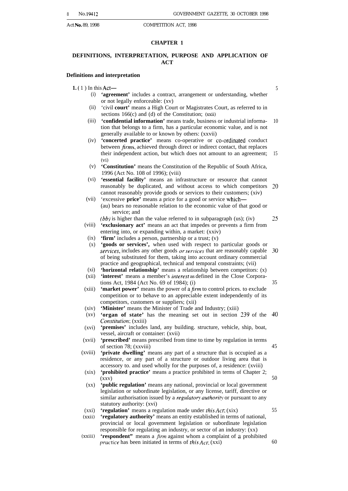#### **CHAPTER 1**

#### **DEFINITIONS, INTERPRETATION, PURPOSE AND APPLICATION OF ACT**

#### **Definitions and interpretation**

- **1. (** 1 ) In this Act— 5
	- (i) **'agreement'** includes a contract, arrangement or understanding, whether or not legally enforceable: (xv)
	- $(ii)$ 'civil **court'** means a High Court or Magistrates Court, as referred to in sections 166(c) and (d) of the Constitution; (xxii)
	- (iii) **'confidential information'** means trade, business or industrial information that belongs to a firm, has a particular economic value, and is not generally available to or known by others: (xxvii) 10
	- $(iv)$ **'concerted practice'** means co-operative or co-ordinated conduct between *firms*, achieved through direct or indirect contact, that replaces their independent action, but which does not amount to an agreement; 15 (vi)
	- (v) **'Constitution'** means the Constitution of the Republic of South Africa, 1996 (Act No. 108 of 1996); (viii)
	- (vi) **'essential facility'** means an infrastructure or resource that cannot reasonably be duplicated, and without access to which competitors 20 cannot reasonably provide goods or services to their customers; (xiv)
	- (vii) 'excessive **price'** means a price for a good or service which— (au) bears no reasonable relation to the economic value of that good or service; and
		- (bb) is higher than the value referred to in subparagraph (us); (iv) 25
	- (viii) **'exclusionary act'** means an act that impedes or prevents a firm from entering into, or expanding within, a market: (xxiv)
		- (ix) **'firm'** includes a person, partnership or a trust; (v)
	- $(x)$ **'goods or services',** when used with respect to particular goods or services, includes any other goods *or services* that are reasonably capable 30 of being substituted for them, taking into account ordinary commercial practice and geographical, technical and temporal constraints; (vii)
	- $(xi)$ **'horizontal relationship'** means a relationship between competitors: (x)
	- (xii) **'interest'** means a member's interesr as defined in the Close Corporations Act, 1984 (Act No. 69 of 1984); (i)
	- (xiii) **'market power'** means the power of a *firm* to control prices. to exclude competition or to behave to an appreciable extent independently of its competitors, customers or suppliers; (xii)
	- (xiv) **'Minister'** means the Minister of Trade and Industry; (xiii)
	- $(xy)$ **'organ of state'** has the meaning set out in section 239 of the Constitution; (xxiii) 40
	- (xvi) **'premises'** includes land, any building. structure, vehicle, ship, boat, vessel, aircraft or container: (xvii)
	- (xvii) **'prescribed'** means prescribed from time to time by regulation in terms of section 78; (xxviii) 45
	- (xviii) **'private dwelling'** means any part of a structure that is occupied as a residence, or any part of a structure or outdoor living area that is accessory to. and used wholly for the purposes of, a residence: (xviii)
	- $(xix)$ **'prohibited practice'** means a practice prohibited in terms of Chapter 2;  $(xxy)$ 50
	- $\left($ xx $\right)$ **'public regulation'** means any national, provincial or local government legislation or subordinate legislation, or any license, tariff, directive or similar authorisation issued by a *regulatory authority* or pursuant to any statutory authority: (xvi)
	- (xxi) **'regulation'** means a regulation made under *this Act*; (xix)
	- (xxii) **'regulatory authority'** means an entity established in terms of national, provincial or local government legislation or subordinate legislation responsible for regulating an industry, or sector of an industry: (xx)
	- (xxiii) **'respondent''** means a *firm* against whom a complaint of a prohibited practice has been initiated in terms of this Act; (xxi) 60

35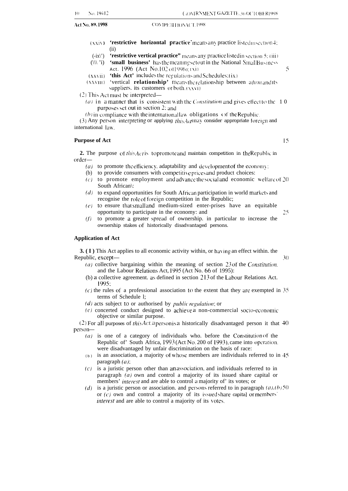#### Act No. 89, 1998 (COMPETHION ACT. 1998)

- $(x\overline{x})\$ 'restrictive horizontal practice' means any practice listed insection4: (ii)
- $(-ix)$ **'restrictive vertical practice"** means any practice listed in section 5; (iii)
- $(\langle \langle \cdot \rangle \cdot i \rangle)$ 'small business' has the meaning set out in the National Small Business Act. 1996 (Act No.102 of 1996):  $(v_i)$
- $(xx\vee i)$ **'this Act'** includes the regulations and Schedules: $(ix)$
- $(XXVIII)$ 'vertical **relationship'** means the relationship between a *firm* and its  $suppliers.$  its customers or both  $(\forall x \forall i)$

 $(2)$  This Act must be interpreted-

- (a) in  $\alpha$  manner that is consistent with the *Constitution* and gives effect to the  $\alpha$  1 0 purposes set out in section 2; and
- (b) in compliance with the international law obligations of the Republic.

(3) Any person interpreting or applying *this Activality* consider appropriate foreign and international Iav,.

#### **Purpose of Act** 15

**2.** The purpose of *this Act* is to promote and maintain competition in the Republic in order-

- (a) to promote the efficiency, adaptability and development of the economy:
- (b) to provide consumers with competitive prices and product choices:
- (c) to promote employment and advance the social and economic welfare of 20 South African\:
- $(d)$  to expand opportunities for South African participation in world markets and recognise the rote of foreign competition in the Republic;
- $(e)$  to ensure that small and medium-sized enter-prises have an equitable opportunity to participate in the economy: and  $\frac{25}{25}$
- (f) to promote a greater spread of ownership. in particular to increase the ownership stakes of historically disadvantaged persons.

#### **Application of Act**

**3. (I)** This Act applies to all economic activity within, or having an effect within. the Republic, except— 30

- 
- (a) collective bargaining within the meaning of section 23 of the Constitution. and the Labour Relations Act, 1995 (Act No. 66 of 1995):
- (b) a collective agreement. as defined in section 213 of the Labour Relations Act. 1995:
- $(c)$  the rules of a professional association to the extent that they are exempted in 35 terms of Schedule l;
- $(d)$  acts subject to or authorised by *public regulation*; or
- $(e)$  concerted conduct designed to achieve a non-commercial socio-economic objective or similar purpose.

(2) For all purposes of *this Act*. a person is a historically disadvantaged person it that 40 person-

- $(a)$  is one of a category of individuals who. before the Constitution of the Republic of' South Africa,  $1993$  (Act No. 200 of 1993), came into operation, were disadvantaged by unfair discrimination on the basis of race:
- *( b )* is an association, a majority of whose members are individuals referred to in 45 paragraph  $(a)$ ;
- $(c)$  is a juristic person other than an association, and individuals referred to in paragraph (a) own and control a majority of its issued share capital or members' *interest* and are able to control a majority of' its votes; or
- (d) is a juristic person or association. and persons referred to in paragraph  $(a)$ . (b) 50 or  $(c)$  own and control a majority of its issued share capital or members' interest and are able to control a majority of its votes.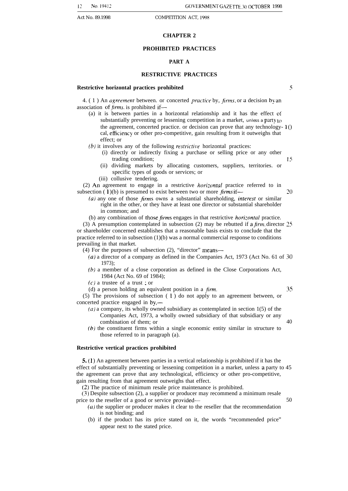#### **CHAPTER 2**

#### **PROHIBITED PRACTICES**

#### **PART A**

#### **RESTRICTIVE PRACTICES**

#### **Restrictive horizontal practices prohibited**

5

4.  $(1)$  An *agreement* between. or concerted *practice* by, *firms*, or a decision by an association of  $f_{irms}$ , is prohibited if—

(a) it is between parties in a horizontal relationship and it has the effect of substantially preventing or lessening competition in a market, unless a party  $\iota$ the agreement, concerted practice. or decision can prove that any technology- I () cal, efficiency or other pro-competitive, gain resulting from it outweighs that effect; or

 $(b)$  it involves any of the following *restrictive* horizontal practices:

- (i) directly or indirectly fixing a purchase or selling price or any other trading condition; 15
- (ii) dividing markets by allocating customers, suppliers, territories. or specific types of goods or services; or
- (iii) collusive tendering.

(2) An agreement to engage in a restrictive horizontal practice referred to in subsection  $(1)(b)$  is presumed to exist between two or more  $\hbar rms$  if— 20

 $(a)$  any one of those *firms* owns a substantial shareholding, *interest* or similar right in the other, or they have at least one director or substantial shareholder in common; and

(b) any combination of those firms engages in that restrictive horizontal practice.

(3) A presumption contemplated in subsection (2) may be rebutted if a firm, director  $25$ or shareholder concerned establishes that a reasonable basis exists to conclude that the practice referred to in subsection  $(1)(b)$  was a normal commercial response to conditions prevailing in that market.

- (4) For the purposes of subsection (2), "director" means—
	- (a) a director of a company as defined in the Companies Act, 1973 (Act No. 61 of 30 1973);
	- (b) a member of a close corporation as defined in the Close Corporations Act, 1984 (Act No. 69 of 1984);
	- $(c)$  a trustee of a trust : or
	- (d) a person holding an equivalent position in a *firm*. 35

(5) The provisions of subsection ( 1 ) do not apply to an agreement between, or concerted practice engaged in by,—

- $(a)$  a company, its wholly owned subsidiary as contemplated in section  $1(5)$  of the Companies Act, 1973, a wholly owned subsidiary of that subsidiary or any combination of them; or 40
- (b) the constituent firms within a single economic entity similar in structure to those referred to in paragraph (a).

#### **Restrictive vertical practices prohibited**

5,( 1 ) An agreement between parties in a vertical relationship is prohibited if it has the effect of substantially preventing or lessening competition in a market, unless a party to 45 the agreement can prove that any technological, efficiency or other pro-competitive, gain resulting from that agreement outweighs that effect.

(2) The practice of minimum resale price maintenance is prohibited.

(3) Despite subsection (2), a supplier or producer may recommend a minimum resale price to the reseller of a good or service provided— 50

- $(a)$  the supplier or producer makes it clear to the reseller that the recommendation is not binding; and
- (b) if the product has its price stated on it, the words "recommended price" appear next to the stated price.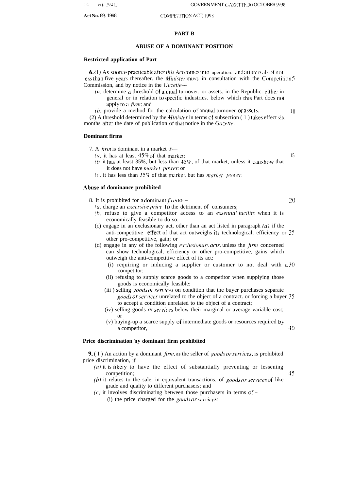#### **PART B**

#### **ABUSE OF A DOMINANT POSITION**

#### **Restricted application of Part**

**6.** (1) As soon as practicable after *this Act* comes into operation. and at intervals of not less than five years thereafter. the *Minister* must, in consultation with the Competition  $5$ Commission, and by notice in the  $Ga\text{-}ette$ -

- $(a)$  determine a threshold of annual turnover. or assets. in the Republic. either in general or in relation to specific industries. below which this Part does not apply to a *firm*; and
- (b) provide a method for the calculation of annual turnover or assets.  $10$

(2) A threshold determined by the *Minister* in terms of subsection (1) takes effect six months after the date of publication of that notice in the  $Ga\zeta$ -ette.

#### **Dominant firms**

- 7. A  $firm$  is dominant in a market if—
	- (a) it has at least  $45\%$  of that market: 15
		-
	- (b) it has at least 35%, but less than  $45\%$ , of that market, unless it can show that it does not have market power; or
	- (c) it has less than  $35\%$  of that market, but has *market power*.

#### **Abuse of dominance prohibited**

- 8. It is prohibited for a dominant  $f_{\ell m}$   $\uparrow$   $\uparrow$   $\uparrow$   $\uparrow$   $\uparrow$   $\uparrow$   $\uparrow$   $\uparrow$   $\uparrow$   $\uparrow$   $\uparrow$   $\uparrow$   $\uparrow$   $\uparrow$   $\uparrow$   $\uparrow$   $\uparrow$   $\uparrow$   $\uparrow$   $\uparrow$   $\uparrow$   $\uparrow$   $\uparrow$   $\uparrow$   $\uparrow$   $\uparrow$   $\uparrow$   $\uparrow$   $\uparrow$   $\up$ 
	- ( $a$ ) charge an excessive price to the detriment of consumers;
	- (b) refuse to give a competitor access to an essential facility when it is economically feasible to do so:
	- (c) engage in an exclusionary act, other than an act listed in paragraph  $(d)$ , if the anti-competitive efiect of that act outweighs its technological, efficiency or 25 other pro-competitive, gain; or
	- (d) engage in any of the following *exclusionary acts*, unless the *firm* concerned can show technological, efficiency or other pro-competitive, gains which outweigh the anti-competitive effect of its act:
		- (i) requiring or inducing a supplier or customer to not deal with a 30 competitor;
		- (ii) refusing to supply scarce goods to a competitor when supplying those goods is economically feasible:
		- (iii) selling  $\mathfrak{g}$  ods or services on condition that the buyer purchases separate goods or services unrelated to the object of a contract. or forcing a buyer 35 to accept a condition unrelated to the object of a contract;
		- (iv) selling goods *or services* below their marginal or average variable cost; or
		- (v) buying-up a scarce supply of intermediate goods or resources required by a competitor,  $40$

#### **Price discrimination by dominant firm prohibited**

**9.** ( I ) An action by a dominant *firm*, as the seller of *goods or services*, is prohibited price discrimination, if—

- ( $a$ ) it is likely to have the effect of substantially preventing or lessening competition: 45
- (b) it relates to the sale, in equivalent transactions. of goods or services of like grade and quality to different purchasers; and
- $(c)$  it involves discriminating between those purchasers in terms of—
	- (i) the price charged for the goods or services;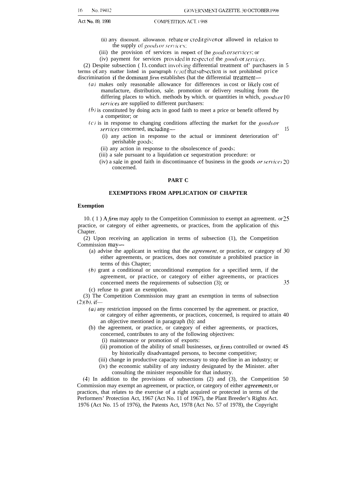- (ii) any discount. allowance. rebate or credit given or allowed in relation to the supply of  $goods$  or services;
- (iii) the provision of services in respect of [he goods or services: or
- (iv) payment for services provided in respect of the goods or services.

(2) Despite subsection (1), conduct involving differential treatment of' purchasers in 5 terms of any matter listed in paragraph  $(c)$  of that subsection is not prohibited price discrimination if the dominant  $\lim_{m \to \infty}$  establishes (hat the differential treatment-

- (a) makes only reasonable allowance for differences in cost or likely cost of manufacture, distribution, sale. promotion or delivery resulting from the differing places to which. methods by which. or quantities in which,  $goods$  or 10 services are supplied to different purchasers:
- $(b)$  is constituted by doing acts in good faith to meet a price or benefit offered by a competitor; or
- $(c)$  is in response to changing conditions affecting the market for the goods or services concerned, including— 15
	- (i) any action in response to the actual or imminent deterioration of' perishable goods:
	- (ii) any action in response to the obsolescence of goods:
	- (iii) a sale pursuant to a liquidation or sequestration procedure: or
	- (iv) a sale in good faith in discontinuance of business in the goods *or services*  $20$ concerned.

#### **PART C**

#### **EXEMPTIONS FROM APPLICATION OF CHAPTER**

#### **Exemption**

10.  $(1)$  A *firm* may apply to the Competition Commission to exempt an agreement. or 25 practice, or category of either agreements, or practices, from the application of this Chapter.

(2) Upon receiving an application in terms of subsection (1), the Competition Commission may—

- (a) advise the applicant in writing that the *agreement*, or practice, or category of  $30$ either agreements, or practices, does not constitute a prohibited practice in terms of this Chapter;
- (b) grant a conditional or unconditional exemption for a specified term, if the agreement, or practice, or category of either agreements, or practices concerned meets the requirements of subsection (3); or 35

(c) refuse to grant an exemption.

(3) The Competition Commission may grant an exemption in terms of subsection  $(2)(b)$ , if—

- (a) any restriction imposed on the firms concerned by the agreement. or practice, or category of either agreements, or practices, concerned, is required to attain 40 an objective mentioned in paragraph (b): and
- (b) the agreement, or practice, or category of either agreements, or practices, concerned, contributes to any of the following objectives:
	- (i) maintenance or promotion of exports:
	- (ii) promotion of the ability of small businesses, or  $\hbar r$  controlled or owned 4S by historically disadvantaged persons, to become competitive;
	- (iii) change in productive capacity necessary to stop decline in an industry; or
	- (iv) the economic stability of any industry designated by the Minister. after consulting the minister responsible for that industry.

(4) In addition to the provisions of subsections (2) and (3), the Competition 50 Commission may exempt an agreement, or practice, or category of either *agreements*, or practices, that relates to the exercise of a right acquired or protected in terms of the Performers' Protection Act, 1967 (Act No. 11 of 1967), the Plant Breeder's Rights Act. 1976 (Act No. 15 of 1976), the Patents Act, 1978 (Act No. 57 of 1978), the Copyright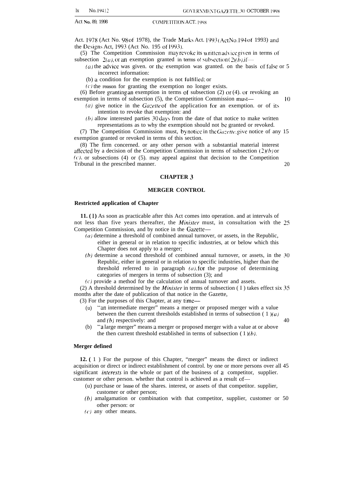Act. 1978 (Act No. 98 of 1978), the Trade Marks Act. 1993 (Act No. 194 of 1993) and the Designs Act, 1993 (Act No. 195 of 1993),

(5) The Competition Commission may revoke its written advice given in terms of subsection  $2(a)$ , or an exemption granted in terms o! subsection  $( 2 )$ (h), if—

 $(a)$  the advice was given. or the exemption was granted. on the basis of false or 5 incorrect information:

(b) a condition for the exemption is not fultilled: or

 $(c)$  the reason for granting the exemption no longer exists.

(6) Before granting an exemption in terms of subsection  $(2)$  or  $(4)$ . or revoking an exemption in terms of subsection (5), the Competition Commission must— 10

- (a) give notice in the  $Gazette$  of the application for an exemption. or of its intention to revoke that exemption: and
- $(b)$  allow interested parties  $30 \text{ days}$  from the date of that notice to make written representations as to why the exemption should not be granted or revoked.

(7) The Competition Commission must, by notice in the  $G_{\ell\ell, \ell\ell}$  give notice of any 15 exemption granted or revoked in terms of this section.

(8) The firm concerned. or any other person with a substantial material interest affected by a decision of the Competition Commission in terms of subsection  $(2)(b)$  or  $(c)$ , or subsections (4) or (5). may appeal against that decision to the Competition Tribunal in the prescribed manner. 20 and the state of the state of the state of the state of the state of the state of the state of the state of the state of the state of the state of the state of the state of the state o

#### **CHAPTER 3**

#### **MERGER CONTROL**

#### **Restricted application of Chapter**

**11. ( 1 )** As soon as practicable after this Act comes into operation. and at intervals of not less than five years thereafter, the *Minister* must, in consultation with the  $25$ Competition Commission, and by notice in the Gazette—

- (a) determine a threshold of combined annual turnover, or assets, in the Republic, either in general or in relation to specific industries, at or below which this Chapter does not apply to a merger;
- (b) determine a second threshold of combined annual turnover, or assets, in the 30 Republic, either in general or in relation to specific industries, higher than the threshold referred to in paragraph  $(a)$ , for the purpose of determining categories of mergers in terms of subsection (3); and
- $(c)$  provide a method for the calculation of annual turnover and assets.

(2) A threshold determined by the *Minister* in terms of subsection ( I ) takes effect six  $35$ months after the date of publication of that notice in the Gazette,

(3) For the purposes of this Chapter, at any time—

- (u) "an intermediate merger" means a merger or proposed merger with a value between the then current thresholds established in terms of subsection (1)(a) and  $(b)$  respectively: and  $\qquad 40$
- (b) "a large merger" means a merger or proposed merger with a value at or above the then current threshold established in terms of subsection  $(1)(b)$ .

#### **Merger defined**

**12. (** 1 ) For the purpose of this Chapter, "merger" means the direct or indirect acquisition or direct or indirect establishment of control. by one or more persons over all 45 significant *interests* in the whole or part of the business of a competitor, supplier. customer or other person. whether that control is achieved as a result of—

- (u) purchase or lease of the shares. interest, or assets of that competitor. supplier, customer or other person;
- (b) amalgamation or combination with that competitor, supplier, customer or 50 other person: or
- (c) any other means.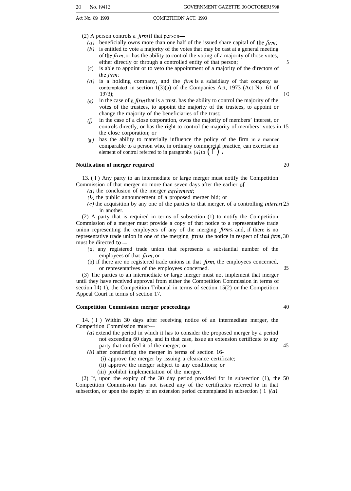(2) A person controls a  $\liminf$  that person—

- (a) beneficially owns more than one half of the issued share capital of the firm:  $(b)$  is entitled to vote a majority of the votes that may be cast at a general meeting
- of the  $\lim_{n \to \infty}$  or has the ability to control the voting of a majority of those votes, either directly or through a controlled entity of that person; 5
- (c) is able to appoint or to veto the appointment of a majority of the directors of the *firm*;
- $(d)$  is a holding company, and the firm is a subsidiary of that company as contemplated in section 1(3)(a) of the Companies Act, 1973 (Act No. 61 of 1973);  $10^{10}$
- $(e)$  in the case of a *firm* that is a trust. has the ability to control the majority of the votes of the trustees, to appoint the majority of the trustees, to appoint or change the majority of the beneficiaries of the trust;
- *(f)* in the case of a close corporation, owns the majority of members' interest, or controls directly, or has the right to control the majority of members' votes in 15 the close corporation; or
- *(g')* has the ability to materially influence the policy of the firm in a manner comparable to a person who, in ordinary commercial practice, can exercise an element of control referred to in paragraphs (a) to  $(f)$ .

#### **Notification of merger required** 20

13. ( 1 ) Any party to an intermediate or large merger must notify the Competition Commission of that merger no more than seven days after the earlier of—

- $(a)$  the conclusion of the merger *agreement*;
- (b) the public announcement of a proposed merger bid; or
- $(c)$  the acquisition by any one of the parties to that merger, of a controlling *interest* 25 in another.

(2) A party that is required in terms of subsection (1) to notify the Competition Commission of a merger must provide a copy of that notice to a representative trade union representing the employees of any of the merging  $\oint r \, \text{m/s}$ , and, if there is no representative trade union in one of the merging firms, the notice in respect of that firm, 30 must be directed to-

- $(a)$  any registered trade union that represents a substantial number of the employees of that  $\lim_{m \to \infty}$
- (b) if there are no registered trade unions in that  $\lim_{m \to \infty}$ , the employees concerned, or representatives of the employees concerned. 35

(3) The parties to an intermediate or large merger must not implement that merger until they have received approval from either the Competition Commission in terms of section 14( 1), the Competition Tribunal in terms of section 15(2) or the Competition Appeal Court in terms of section 17.

#### **Competition Commission merger proceedings** 40

14. ( 1 ) Within 30 days after receiving notice of an intermediate merger, the Competition Commission must—

- (a) extend the period in which it has to consider the proposed merger by a period not exceeding 60 days, and in that case, issue an extension certificate to any party that notified it of the merger; or 45
- (b) after considering the merger in terms of section 16-
	- (i) approve the merger by issuing a clearance certificate;
	- (ii) approve the merger subject to any conditions; or
	- (iii) prohibit implementation of the merger.

(2) If, upon the expiry of the 30 day period provided for in subsection (1), the 50 Competition Commission has not issued any of the certificates referred to in that subsection, or upon the expiry of an extension period contemplated in subsection (1) $(a)$ ,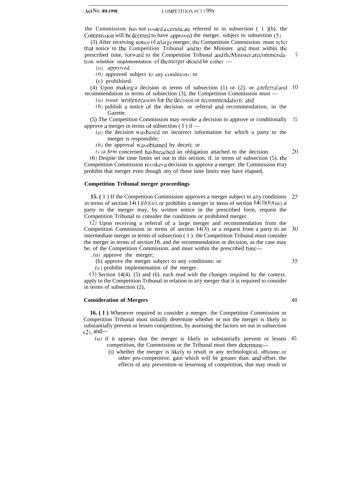the Commission has not issued a certificate referred to in subsection ( $1$ )(b). the Commission will be deemed to have approved the merger. subject to subsection (5).

(3) After receiving notice of a large merger, the Competition Commission. must refer that notice to the Competition Tribunal and to the Minister. and must within the prescribed time, forward to the Competition Tribunal and the Minister arecommendation whether implementation of the merger should be either — 5

 $(a)$  approved:

 $(b)$  approved subject to any conditions; or

(c) prohibited.

(4) Upon making a decision in terms of subsection (1) or (2). or a referml and 10 recommendation in terms of subsection (3), the Competition Commission must —

(a) issue written reasons for the decision or recommendation; and

(b) publish a notice of the decision. or referral and recommendation, in the Gazette.

(5) The Competition Commission may revoke a decision to approve or conditionally approve a merger in terms of subsection  $(1)$  if — 15

 $(a)$  the decision was based on incorrect information for which a party to the merger is responsible;

 $(b)$  the approval was obtained by deceit; or

20

 $(c)$  a firm concerned has breached an obligation attached to the decision. (6) Despite the time limits set out in this section. if. in terms of subsection (5). the Competition Commission revokes a decision to approve a merger. the Commission may prohibit that merger even though any of those time limits may have elapsed,

#### **Competition Tribunal merger proceedings**

**15. (** 1 ) If the Competition Commission approves a merger subject to any conditions in terms of section  $14(1)(b)(ii)$ , or prohibits a merger in terms of section  $14(1)(b)(iii)$ , a party to the merger may, by written notice in the prescribed form, request the Competition Tribunal to consider the conditions or prohibited merger. 25

(2) Upon receiving a referral of a large merger and recommendation from the Competition Commission in terms of section  $14(3)$ , or a request from a party to an intermediate merger in terms of subsection ( 1 ). the Competition Tribunal must consider the merger in terms of section 16. and the recommendation or decision, as the case may be. of the Competition Commission. and must within the prescribed time-30

 $(a)$  approve the merger;

(b) approve the merger subject to any conditions: or

(c) prohibit implementation of the merger.

(3) Section 14(4). (5) and (6). each read with the changes required by the context. apply to the Competition Tribunal in relation to any merger that it is required to consider in terms of subsection (2),

#### **Consideration of Mergers**

**16. ( 1 )** Whenever required to consider a merger. the Competition Commission or Competition Tribunal must initially determine whether or not the merger is likely to substantially prevent or lessen competition, by assessing the factors set out in subsection  $(2)$ , and-

- (a) if it appears that the merger is likely to substantially prevent or lessen 45 competition, the Commission or the Tribunal must then determine—
	- (i) whether the merger is likely to result in any technological, efficienc or other pro-competitive. gain which will be greater than. and offset. the effects of any prevention or lessening of competition, that may result or

40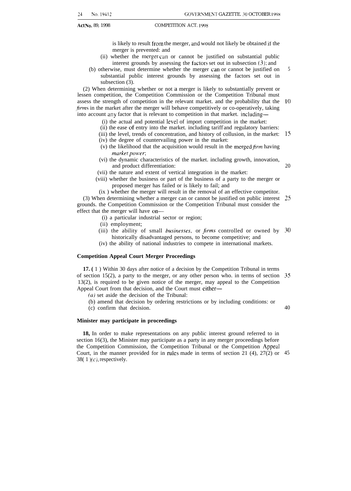is likely to result from the merger, and would not likely be obtained if the merger is prevented: and

- (ii) whether the merger can or cannot be justified on substantial public interest grounds by assessing the factors set out in subsection  $(3)$ ; and
- (b) otherwise, must determine whether the merger can or cannot be justified on substantial public interest grounds by assessing the factors set out in subsection  $(3)$ .

(2) When determining whether or not a merger is likely to substantially prevent or lessen competition, the Competition Commission or the Competition Tribunal must assess the strength of competition in the relevant market. and the probability that the firms in the market after the merger will behave competitively or co-operatively, taking into account any factor that is relevant to competition in that market. including— 10

- (i) the actual and potential level of import competition in the market:
- (ii) the ease of entry into the market. including tariff and regulatory barriers:
- (iii) the level, trends of concentration, and history of collusion, in the market: 15
- (iv) the degree of countervailing power in the market:
- (v) the likelihood that the acquisition would result in the merged  $f_{\text{irr}}$  having market power;
- (vi) the dynamic characteristics of the market. including growth, innovation, and product differentiation:
- (vii) the nature and extent of vertical integration in the market:
- (viii) whether the business or part of the business of a party to the merger or proposed merger has failed or is likely to fail; and

(ix ) whether the merger will result in the removal of an effective competitor.

(3) When determining whether a merger can or cannot be justified on public interest 25 grounds. the Competition Commission or the Competition Tribunal must consider the effect that the merger will have on—

- (i) a particular industrial sector or region;
- (ii) employment;
- (iii) the ability of small *businesses*, or *firms* controlled or owned by historically disadvantaged persons, to become competitive; and 30
- (iv) the ability of national industries to compete in international markets.

#### **Competition Appeal Court Merger Proceedings**

**17. (** 1 ) Within 30 days after notice of a decision by the Competition Tribunal in terms of section 15(2), a party to the merger, or any other person who. in terms of section 35 13(2), is required to be given notice of the merger, may appeal to the Competition Appeal Court from that decision, and the Court must either—

 $(a)$  set aside the decision of the Tribunal:

- (b) amend that decision by ordering restrictions or by including conditions: or
- (c) confirm that decision.

40

5

20

#### **Minister may participate in proceedings**

**18,** In order to make representations on any public interest ground referred to in section 16(3), the Minister may participate as a party in any merger proceedings before the Competition Commission, the Competition Tribunal or the Competition Appeal Court, in the manner provided for in rules made in terms of section 21 (4), 27(2) or 4538( $1)(c)$ , respectively.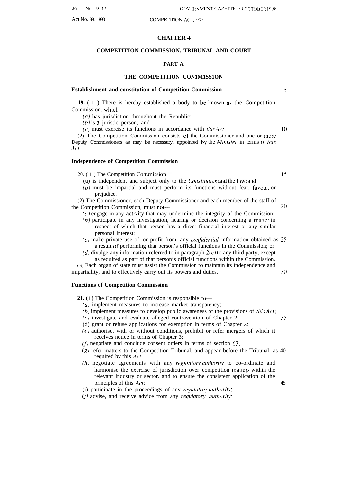#### **CHAPTER 4**

#### **COMPETITION COMMISSION. TRIBUNAL AND COURT**

#### **PART A**

#### **THE COMPETITION CON1M1SS1ON**

#### **Establishment and constitution of Competition Commission <sup>5</sup>**

**19. (** 1 ) There is hereby established a body to be known as the Competition Commission, which—

*(a)* has jurisdiction throughout the Republic:

 $(b)$  is a juristic person; and

(c) must exercise its functions in accordance with  $this$  Act.  $10$ 

(2) The Competition Commission consists of the Commissioner and one or more Deputy Commissioners as may be necessary, appointed by the *Minister* in terms of this Act.

#### **Independence of Competition Commission**

20. (1) The Competition Commission— [5] [5]

(u) is independent and subject only to the *Constitution* and the law; and

 $(b)$  must be impartial and must perform its functions without fear, favour, or prejudice.

(2) The Commissioner, each Deputy Commissioner and each member of the staff of  $t$ he Competition Commission, must not— $20$ 

- $(a)$  engage in any activity that may undermine the integrity of the Commission;
- (b) participate in any investigation, hearing or decision concerning a matter in respect of which that person has a direct financial interest or any similar personal interest;
- $(c)$  make private use of, or profit from, any *confidential* information obtained as 25 a result of performing that person's official functions in the Commission; or
- (d) divulge any information referred to in paragraph  $2(c)$  to any third party, except as required as part of that person's official functions within the Commission.

(3) Each organ of state must assist the Commission to maintain its independence and impartiality, and to effectively carry out its powers and duties. 30

#### **Functions of Competition Commission**

- **21.** (1) The Competition Commission is responsible to—
	- $(a)$  implement measures to increase market transparency;
	- $(b)$  implement measures to develop public awareness of the provisions of *this Act*;
	- (c) investigate and evaluate alleged contravention of Chapter 2; 35
	- (d) grant or refuse applications for exemption in terms of Chapter 2;
	- (e) authorise, with or without conditions, prohibit or refer mergers of which it receives notice in terms of Chapter 3;
	- (f) negotiate and conclude consent orders in terms of section 63;
	- $(g)$  refer matters to the Competition Tribunal, and appear before the Tribunal, as 40 required by this Act;
	- $(h)$  negotiate agreements with any *regulatory authority* to co-ordinate and harmonise the exercise of jurisdiction over competition matters within the relevant industry or sector. and to ensure the consistent application of the principles of this Act: 45
	- (i) participate in the proceedings of any regulatory authority;
	- (j) advise, and receive advice from any *regulatory* authority: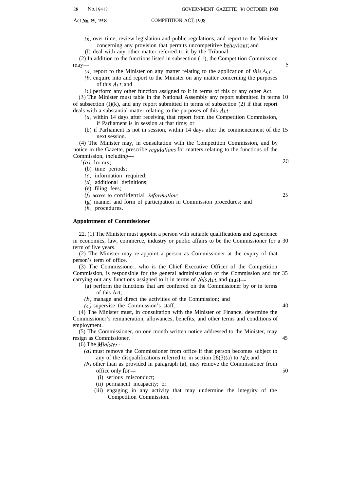$(k)$  over time, review legislation and public regulations, and report to the Minister concerning any provision that permits uncompetitive behaviour; and

(I) deal with any other matter referred to it by the Tribunal.

(2) In addition to the functions listed in subsection ( 1), the Competition Commission  $\text{may}$ —5

- (a) report to the Minister on any matter relating to the application of *this Act*;
- (b) enquire into and report to the Minister on any matter concerning the purposes of this Act; and

(c) perform any other function assigned to it in terms of this or any other Act. (3) The Minister must table in the National Assembly any report submitted in terms 10 of subsection  $(I)(k)$ , and any report submitted in terms of subsection  $(2)$  if that report deals with a substantial matter relating to the purposes of this Act-

- (a) within 14 days after receiving that report from the Competition Commission, if Parliament is in session at that time; or
- (b) if Parliament is not in session, within 14 days after the commencement of the 15 next session.

(4) The Minister may, in consultation with the Competition Commission, and by notice in the Gazette, prescribe *regulations* for matters relating to the functions of the Commission, including—

 $(a)$  forms;  $20$ 

- (b) time periods;
- $(c)$  information required;
- $(d)$  additional definitions;
- (e) filing fees;
- $(f)$  access to confidential *information*; 25
- (g) manner and form of participation in Commission procedures; and
- $(h)$  procedures.

#### **Appointment of Commissioner**

22. (1) The Minister must appoint a person with suitable qualifications and experience in economics, law, commerce, industry or public affairs to be the Commissioner for a 30 term of five years.

(2) The Minister may re-appoint a person as Commissioner at the expiry of that person's term of office.

(3) The Commissioner, who is the Chief Executive Officer of the Competition Commission, is responsible for the general administration of the Commission and for 35 carrying out any functions assigned to it in terms of *this Act*, and must—

- (a) perform the functions that are conferred on the Commissioner by or in terms of this Act;
- (b) manage and direct the activities of the Commission; and

 $(c)$  supervise the Commission's staff.  $(40)$ 

(4) The Minister must, in consultation with the Minister of Finance, determine the Commissioner's remuneration, allowances, benefits, and other terms and conditions of employment.

(5) The Commissioner, on one month written notice addressed to the Minister, may resign as Commissioner. 45

(6) The Minister—

- (a) must remove the Commissioner from office if that person becomes subject to any of the disqualifications referred to in section  $28(3)(a)$  to  $(d)$ ; and
- (b) other than as provided in paragraph (a), may remove the Commissioner from office only for — 50
	- (i) serious misconduct;
	- (ii) permanent incapacity; or
	- (iii) engaging in any activity that may undermine the integrity of the Competition Commission.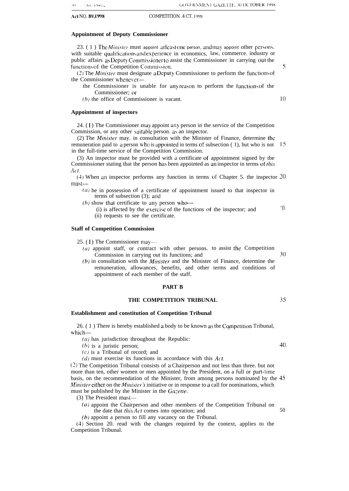#### **Appointment of Deputy Commissioner**

23.  $(1)$  The *Minister* must appoint at least one person, and may appoint other persons. with suitable qualifications and experience in economics, law, commerce. industry or public affairs as Deputy Commissioner to assist the Commissioner in carrying out the functions of the Competition Commission. 5

 $(2)$  The *Minister* must designate a Deputy Commissioner to perform the functions of the Commissioner whenever-

the Commissioner is unable for any reason to perform the functions of the Commissioner; or

 $(b)$  the office of Commissioner is vacant.  $\qquad 10$ 

#### **Appointment of inspectors**

24. (1) The Commissioner may appoint any person in the service of the Competition Commission, or any other suitable person. as an inspector.

(2) The *Minister* may. in consultation with the Minister of Finance, determine the remuneration paid to a person who is appointed in terms of subsection  $( 1)$ , but who is not 15 in the full-time service of the Competition Commission.

(3) An inspector must be provided with a certificate of appointment signed by tbe Commissioner stating that the person has been appointed as an inspector in terms of this Act.

(4) When an inspector performs any function in terms of Chapter 5. the inspector 20  $must-$ 

 $(a)$  be in possession of a certificate of appointment issued to that inspector in terms of subsection (3); and

( $b$ ) show that certificate to any person who--

(i) is affected by the exercise of the functions of the inspector; and  $\frac{1}{5}$ (ii) requests to see the certificate.

#### **Staff of Competition Commission**

25. (1) The Commissioner may—

 $(a)$  appoint staff, or contract with other persons. to assist the Competition Commission in carrying out its functions; and 30

 $(b)$  in consultation with the *Minister* and the Minister of Finance, determine the remuneration, allowances, benefits, and other terms and conditions of appointment of each member of the staff.

#### **PART B**

#### **THE COMPETITION TRIBUNAL** 35

#### **Establishment and constitution of Competition Tribunal**

26. (1) There is hereby established a body to be known as the Competition Tribunal, which—

 $(a)$  has jurisdiction throughout the Republic:

 $(b)$  is a juristic person;  $40$ 

 $(c)$  is a Tribunal of record; and

 $(d)$  must exercise its functions in accordance with this Act.

(2) The Competition Tribunal consists of a Chairperson and not less than three. but not more than ten, other women or men appointed by the President, on a full or parr-time basis, on the recommendation of the Minister, from among persons nominated by the 45 *Minister* either on the *Minister's* initiative or in response to a call for nominations, which must be published by the Minister in the Gazette.

(3) The President must-

(a) appoint the Chairperson and other members of the Competition Tribunal on the date that *this*  $\overline{Act}$  comes into operation; and  $\overline{50}$ 

(b) appoint a person to fill any vacancy on the Tribunal.

(4) Section 20. read with the changes required by the context, applies to the Competition Tribunal.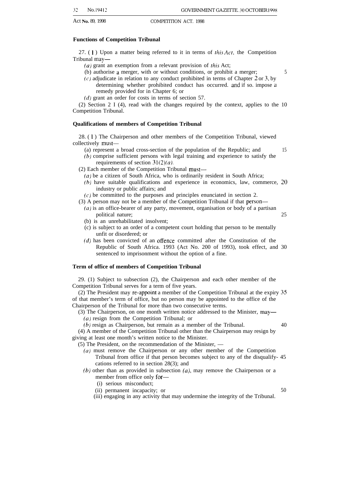#### **Functions of Competition Tribunal**

27. (1) Upon a matter being referred to it in terms of *this Act*, the Competition Tribunal may—

- ( $a$ ) grant an exemption from a relevant provision of this Act;
- (b) authorise a merger, with or without conditions, or prohibit a merger; 5
- (c) adjudicate in relation to any conduct prohibited in terms of Chapter 2 or 3, by
	- determining whether prohibited conduct has occurred. and if so. impose a remedy provided for in Chapter 6; or
- (d) grant an order for costs in terms of section 57.

(2) Section 2 I (4), read with the changes required by the context, applies to the 10 Competition Tribunal.

#### **Qualifications of members of Competition Tribunal**

28. ( 1 ) The Chairperson and other members of the Competition Tribunal, viewed collectively must—

(a) represent a broad cross-section of the population of the Republic; and 15

- (b) comprise sufficient persons with legal training and experience to satisfy the requirements of section  $31(2)(a)$ .
- (2) Each member of the Competition Tribunal must—
	- $(a)$  be a citizen of South Africa, who is ordinarily resident in South Africa;
	- (b) have suitable qualifications and experience in economics, law, commerce, 20 industry or public affairs; and
- $(c)$  be committed to the purposes and principles enunciated in section 2.
- (3) A person may not be a member of the Competition Tribunal if that person—
	- $(a)$  is an office-bearer of any party, movement, organisation or body of a partisan political nature; 25
	- (b) is an unrehabilitated insolvent;
	- (c) is subject to an order of a competent court holding that person to be mentally unfit or disordered; or
	- (d) has been convicted of an offence committed after the Constitution of the Republic of South Africa. 1993 (Act No. 200 of 1993), took effect, and 30 sentenced to imprisonment without the option of a fine.

#### **Term of office of members of Competition Tribunal**

29. (1) Subject to subsection (2), the Chairperson and each other member of the Competition Tribunal serves for a term of five years.

(2) The President may re-appoint a member of the Competition Tribunal at the expiry 35 of that member's term of office, but no person may be appointed to the office of the Chairperson of the Tribunal for more than two consecutive terms.

(3) The Chairperson, on one month written notice addressed to the Minister, may—

(a) resign from the Competition Tribunal; or

(b) resign as Chairperson, but remain as a member of the Tribunal. 40

(4) A member of the Competition Tribunal other than the Chairperson may resign by giving at least one month's written notice to the Minister.

- (5) The President, *on* the recommendation of the Minister,
	- (a) must remove the Chairperson or any other member of the Competition Tribunal from office if that person becomes subject to any of the disqualify- 45 cations referred to in section 28(3); and
	- $(b)$  other than as provided in subsection  $(a)$ , may remove the Chairperson or a member from office only for—
		- (i) serious misconduct;
		- (ii) permanent incapacity; or 50

(iii) engaging in any activity that may undermine the integrity of the Tribunal.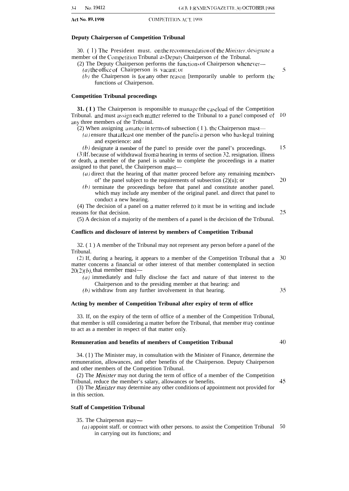#### **Deputy Chairperson of Competition Tribunal**

30. (1) The President must. on the recommendation of the *Minister*, designate a member of the Competition Tribunal as Deputy Chairperson of the Tribunal.

- (2) The Deputy Chairperson performs the functions of Chairperson whenever—  $(a)$  the office of Chairperson is vacant: or
	- $(b)$  the Chairperson is for any other reason [temporarily unable to perform the functions of Chairperson.

#### **Competition Tribunal proceedings**

**31. (I)** The Chairperson is responsible to manage the caseload of the Competition Tribunal. and must assign each matter referred to the Tribunal to a panel composed of  $\sqrt{10}$ any three members of the Tribunal.

(2) When assigning a matter in terms of subsection  $(1)$ . the Chairperson must—

 $(a)$  ensure that at least one member of the panel is a person who has legal training and experience: and

15  $(b)$  designate a member of the panel to preside over the panel's proceedings.

(3) If. because of withdrawal from a hearing in terms of section 32. resignation. illness or death, a member of the panel is unable to complete the proceedings in a matter assigned to that panel, the Chairperson must—

- ( $a$ ) direct that the hearing of that matter proceed before any remaining members of' the panel subject to the requirements of subsection  $(2)(u)$ ; or
- (b) terminate the proceedings before that panel and constitute another panel. which may include any member of the original panel. and direct that panel to conduct a new hearing.

(4) The decision of a panel on a matter referred to it must be in writing and include reasons for that decision.

(5) A decision of a majority of the members of a panel is the decision of the Tribunal.

#### **Conflicts and disclosure of interest by members of Competition Tribunal**

32. ( 1 ) A member of the Tribunal may not represent any person before a panel of the Tribunal.

(2) If, during a hearing, it appears to a member of the Competition Tribunal that a 30 matter concerns a financial or other interest of that member contemplated in section  $20(2)(b)$ , that member must-

(a) immediately and fully disclose the fact and nature of that interest to the Chairperson and to the presiding member at that hearing: and

(b) withdraw from any further involvement in that hearing.

### **Acting by member of Competition Tribunal after expiry of term of office**

33. If, on the expiry of the term of office of a member of the Competition Tribunal, that member is still considering a matter before the Tribunal, that member may continue to act as a member in respect of that matter only.

#### **Remuneration and benefits of members of Competition Tribunal**

34. ( 1 ) The Minister may, in consultation with the Minister of Finance, determine the remuneration, allowances, and other benefits of the Chairperson. Deputy Chairperson and other members of the Competition Tribunal.

(2) The *Minister* may not during the term of office of a member of the Competition Tribunal, reduce the member's salary, allowances or benefits.

(3) The Minisler may determine any other conditions of appointment not provided for in this section.

### **Staff of Competition Tribunal**

35. The Chairperson may—

(a) appoint staff. or contract with other persons. to assist the Competition Tribunal 50in carrying out its functions; and

## 20

5

## 35

40

45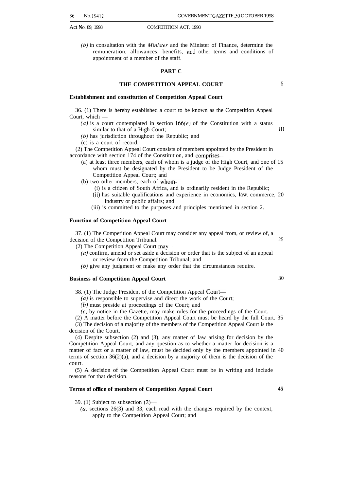$(b)$  in consultation with the *Minister* and the Minister of Finance, determine the remuneration, allowances. benefits, and other terms and conditions of appointment of a member of the staff.

### **PART C**

## **THE COMPETITION APPEAL COURT** 5

#### **Establishment and constitution of Competition Appeal Court**

36. (1) There is hereby established a court to be known as the Competition Appeal Court, which —

(a) is a court contemplated in section  $166(e)$  of the Constitution with a status similar to that of a High Court; 10

(b) has jurisdiction throughout the Republic; and

(c) is a court of record.

(2) The Competition Appeal Court consists of members appointed by the President in accordance with section 174 of the Constitution, and comprises—

- (a) at least three members, each of whom is a judge of the High Court, and one of 15 whom must be designated by the President to be Judge President of the Competition Appeal Court; and
- (b) two other members, each of whom—
	- (i) is a citizen of South Africa, and is ordinarily resident in the Republic;
	- (ii) has suitable qualifications and experience in economics, Iawi commerce, 20 industry or public affairs; and
	- (iii) is committed to the purposes and principles mentioned in section 2.

#### **Function of Competition Appeal Court**

37. (1) The Competition Appeal Court may consider any appeal from, or review of, a decision of the Competition Tribunal. 25

(2) The Competition Appeal Court may—

(a) confirm, amend or set aside a decision or order that is the subject of an appeal or review from the Competition Tribunal; and

(b) give any judgment or make any order that the circumstances require.

#### **Business of Competition Appeal Court** 30

38. (1) The Judge President of the Competition Appeal Court—

 $(a)$  is responsible to supervise and direct the work of the Court;

(b) must preside at proceedings of the Court; and

(c) by notice in the Gazette, may make rules for the proceedings of the Court.

(2) A matter before the Competition Appeal Court must be heard by the full Court. 35

(3) The decision of a majority of the members of the Competition Appeal Court is the decision of the Court.

(4) Despite subsection (2) and (3), any matter of law arising for decision by the Competition Appeal Court, and any question as to whether a matter for decision is a matter of fact or a matter of law, must be decided only by the members appointed in 40 terms of section  $36(2)(a)$ , and a decision by a majority of them is the decision of the court.

(5) A decision of the Competition Appeal Court must be in writing and include reasons for that decision.

#### Terms of office of members of Competition Appeal Court 45

39. (1) Subject to subsection (2)—

 $(a)$  sections 26(3) and 33, each read with the changes required by the context, apply to the Competition Appeal Court; and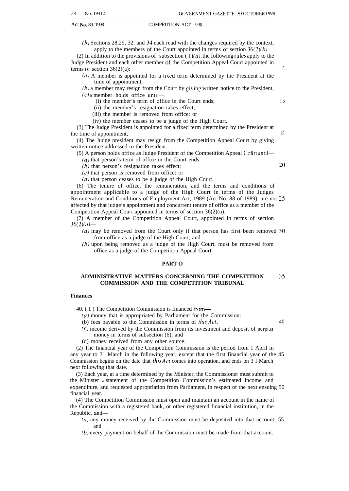(b) Sections 28,29, 32, and 34 each read with the changes required by the context, apply to the members of the Court appointed in terms of section  $36(2)(b)$ .

(2) In addition to the provisions of' subsection ( I )(*a*), the following rules apply to the Judge President and each other member of the Competition Appeal Court appointed in terms of section  $36(2)(a)$ : 5

(a) A member is appointed for a tixed term determined by the President at the time of appointment,

(b) a member may resign from the Court by giving written notice to the President,  $(c)$  a member holds office until—

(i) the member's term of office in the Court ends; I o

(ii) the member's resignation takes effect;

(iii) the member is removed from office: or

(iv) the member ceases to be a judge of the High Court.

(3) The Judge President is appointed for a fixed term determined by the President at the time of appointment, 15

(4) The Judge president may resign from the Competition Appeal Court by giving written notice addressed to the President.

(5) A person holds office as Judge President of the Competition Appeal Cofirt until—

(*a*) that person's term of office in the Court ends:

(b) that person's resignation takes effect;  $20$ 

 $(c)$  that person is removed from office: or

 $(d)$  that person ceases to be a judge of the High Court.

(6) The tenure of office. the remuneration, and the terms and conditions of appointment applicable to a judge of the High Court in terms of the Judges Remuneration and Conditions of Employment Act, 1989 (Act No. 88 of 1989). are not 25 affected by that judge's appointment and concurrent tenure of office as a member of the Competition Appeal Court appointed in terms of section 36(2)(u).

(7) A member of the Competition Appeal Court, appointed in terms of section  $36(2)(a)$ —

 $(a)$  may be removed from the Court only if that person has first been removed 30 from office as a judge of the High Court; and

(b) upon being removed as a judge of the High Court, must be removed from office as a judge of the Competition Appeal Court.

#### **PART D**

#### **ADMINISTRATIVE MATTERS CONCERNING THE COMPETITION 35 COMMISSION AND THE COMPETITION TRIBUNAL**

#### **Finances**

40. ( 1 ) The Competition Commission is financed from—

(a) money that is appropriated by Parliament for the Commission:

(b) fees payable to the Commission in terms of this Act; 40

 $(c)$  income derived by the Commission from its investment and deposit of surplus money in terms of subsection (6); and

(d) money received from any other source.

(2) The financial year of the Competition Commission is the period from 1 April in any year to 31 March in the following year, except that the first financial year of the 45 Commission begins on the date that this Act comes into operation, and ends on 3 I March next following that date.

(3) Each year, at a time determined by the Minister, the Commissioner must submit to the Minister a statement of the Competition Commission's estimated income and expenditure, and requested appropriation from Parliament, in respect of the next ensuing 50 financial year.

(4) The Competition Commission must open and maintain an account in the name of the Commission with a registered bank, or other registered financial institution, in the Republic, and—

 $(a)$  any money received by the Commission must be deposited into that account; 55 and

(b) every payment on behalf of the Commission must be made from that account.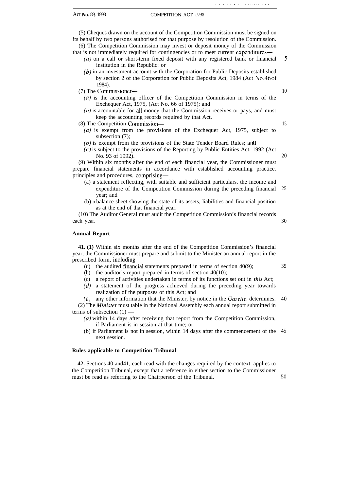(5) Cheques drawn on the account of the Competition Commission must be signed on its behalf by two persons authorised for that purpose by resolution of the Commission. (6) The Competition Commission may invest or deposit money of the Commission

that is not immediately required for contingencies or to meet current expenditures—

- (a) on a call or short-term fixed deposit with any registered bank or financial institution in the Republic: or 5
- (b) in an investment account with the Corporation for Public Deposits established by section 2 of the Corporation for Public Deposits Act, 1984 (Act No. 46 of 1984).
- (7) The Commissioner—
	- (a) is the accounting officer of the Competition Commission in terms of the Exchequer Act, 1975, (Act No. 66 of 1975); and
	- (b) is accountable for all money that the Commission receives or pays, and must keep the accounting records required by that Act.

(8) The Competition Commission—

- (a) is exempt from the provisions of the Exchequer Act, 1975, subject to subsection  $(7)$ ;
- $(b)$  is exempt from the provisions of the State Tender Board Rules; and
- $(c)$  is subject to the provisions of the Reporting by Public Entities Act, 1992 (Act No. 93 of 1992).

(9) Within six months after the end of each financial year, the Commissioner must prepare financial statements in accordance with established accounting practice. principles and procedures, comprising—

- (a) a statement reflecting, with suitable and sufficient particulars, the income and expenditure of the Competition Commission during the preceding financial year; and 25
- (b) a balance sheet showing the state of its assets, liabilities and financial position as at the end of that financial year.

(10) The Auditor General must audit the Competition Commission's financial records each year.

#### **Annual Report**

**41. (1)** Within six months after the end of the Competition Commission's financial year, the Commissioner must prepare and submit to the Minister an annual report in the prescribed form, including—

- (u) the audited financial statements prepared in terms of section  $40(9)$ ;
- (b) the auditor's report prepared in terms of section 40(10);
- (c) a report of activities undertaken in terms of its functions set out in this Act;
- (d) a statement of the progress achieved during the preceding year towards realization of the purposes of this Act; and

(e) any other information that the Minister, by notice in the Gazette, determines. 40  $(2)$  The *Minister* must table in the National Assembly each annual report submitted in terms of subsection  $(1)$  —

- (a) within 14 days after receiving that report from the Competition Commission, if Parliament is in session at that time; or
- (b) if Parliament is not in session, within 14 days after the commencement of the 45 next session.

#### **Rules applicable to Competition Tribunal**

**42.** Sections 40 and41, each read with the changes required by the context, applies to the Competition Tribunal, except that a reference in either section to the Commissioner must be read as referring to the Chairperson of the Tribunal. 50

15

20

30

. . . . . . . . ...= . . . .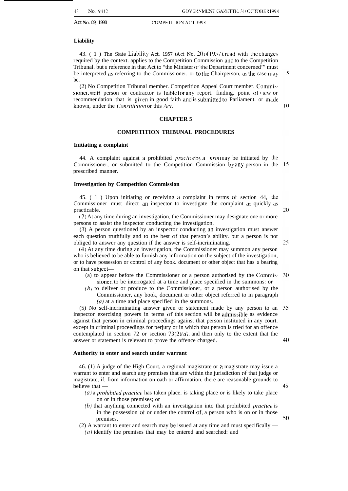#### **Liability**

43. ( $1$ ) The State Liability Act. 1957 (Act No. 20 of 1957). read with the changes required by the context. applies to the Competition Commission md to the Competition Tribunal. but a reference in that Act to "the Minister of the Department concerned'" must be interpreted as referring to the Commissioner. or to the Chairperson, as the case may be.

(2) No Competition Tribunal member. Competition Appeal Court member. Commissioner, staff person or contractor is liable for any report. finding. point of view or recommendation that is given in good faith and is \ubmitted to Parliament. or made known, under the *Constitution* or this Act.

 $10$ 

5

#### **CHAPTER 5**

#### **COMPETITION TRIBUNAL PROCEDURES**

#### **Initiating a complaint**

44. A complaint against a prohibited *practice* by a *firm* may be initiated by the Commissioner, or submitted to the Competition Commission by any person in the prescribed manner.

#### **Investigation by Competition Commission**

45. ( 1 ) Upon initiating or receiving a complaint in terms of section 44, the Commissioner must direct an inspector to investigate the complaint as quickly as practicable.

(2) At any time during an investigation, the Commissioner may designate one or more persons to assist the inspector conducting the investigation.

(3) A person questioned by an inspector conducting an investigation must answer each question truthfully and to the best of that person's ability. but a person is not obliged to answer any question if the answer is self-incriminating.

(4) At any time during an investigation, the Commissioner may summon any person who is believed to be able to furnish any information on the subject of the investigation, or to have possession or control of any book. document or other object that has a bearing on that subject—

- (a) to appear before the Commissioner or a person authorised by the Commis- $30$ sioner, to be interrogated at a time and place specified in the summons: or
- $(b)$  to deliver or produce to the Commissioner, or a person authorised by the Commissioner, any book, document or other object referred to in paragraph  $(a)$  at a time and place specified in the summons.

(5) No self-incriminating answer given or statement made by any person to an -35 inspector exercising powers in terms of this section will be admissible as evidence against that person in criminal proceedings against that person instituted in any court. except in criminal proceedings for perjury or in which that person is tried for an offence contemplated in section 72 or section 73(2)(d), and then only to the extent that the 40 answer or statement is relevant to prove the offence charged.

#### **Authority to enter and search under warrant**

46. (1) A judge of the High Court, a regional magistrate or a magistrate may issue a warrant to enter and search any premises that are within the jurisdiction of that judge or magistrate, if, from information on oath or affirmation, there are reasonable grounds to believe that —

- $(a)$  a prohibited practice has taken place. is taking place or is likely to take place on or in those premises; or
- $(b)$  that anything connected with an investigation into that prohibited *practice* is in the possession ot' or under the control of, a person who is on or in those premises.
- (2) A warrant to enter and search may be issued at any time and must specifically —

 $(a)$  identify the premises that may be entered and searched: and

20

25

45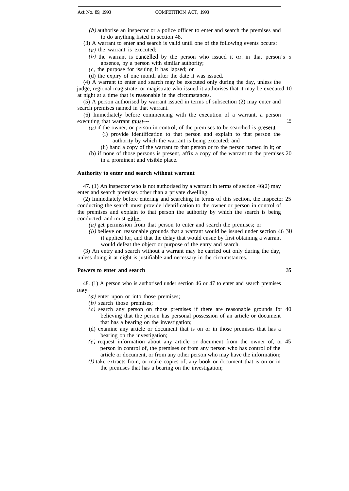- (b) authorise an inspector or a police officer to enter and search the premises and to do anything listed in section 48.
- (3) A warrant to enter and search is valid until one of the following events occurs:  $(a)$  the warrant is executed;
	-
	- (b) the warrant is cancelled by the person who issued it or, in that person's 5 absence, by a person with similar authority;
	- $(c)$  the purpose for issuing it has lapsed; or
	- (d) the expiry of one month after the date it was issued.

(4) A warrant to enter and search may be executed only during the day, unless the judge, regional magistrate, or magistrate who issued it authorises that it may be executed 10 at night at a time that is reasonable in the circumstances.

(5) A person authorised by warrant issued in terms of subsection (2) may enter and search premises named in that warrant.

(6) Immediately before commencing with the execution of a warrant, a person executing that warrant must—15

 $(a)$  if the owner, or person in control, of the premises to be searched is present-

- (i) provide identification to that person and explain to that person the authority by which the warrant is being executed; and
- (ii) hand a copy of the warrant to that person or to the person named in it; or
- (b) if none of those persons is present, affix a copy of the warrant to the premises 20 in a prominent and visible place.

#### **Authority to enter and search without warrant**

47. (1) An inspector who is not authorised by a warrant in terms of section 46(2) may enter and search premises other than a private dwelling.

(2) Immediately before entering and searching in terms of this section, the inspector 25 conducting the search must provide identification to the owner or person in control of the premises and explain to that person the authority by which the search is being conducted, and must either—

(a) get permission from that person to enter and search the premises; or

(b) believe on reasonable grounds that a warrant would be issued under section 46 30 if applied for, and that the delay that would ensue by first obtaining a warrant would defeat the object or purpose of the entry and search.

(3) An entry and search without a warrant may be carried out only during the day, unless doing it at night is justifiable and necessary in the circumstances.

#### **Powers to enter and search 35**

48. (1) A person who is authorised under section 46 or 47 to enter and search premises may—

- (a) enter upon or into those premises;
- (b) search those premises;
- (c) search any person on those premises if there are reasonable grounds for 40 believing that the person has personal possession of an article or document that has a bearing on the investigation;
- (d) examine any article or document that is on or in those premises that has a bearing on the investigation;
- (e) request information about any article or document from the owner of, or 45 person in control of, the premises or from any person who has control of the article or document, or from any other person who may have the information;
- $(f)$  take extracts from, or make copies of, any book or document that is on or in the premises that has a bearing on the investigation;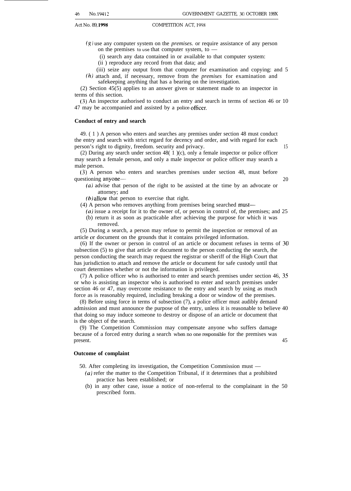(g) use any computer system on the *premises.* or require assistance of any person on the premises to use that computer system, to —

(i) search any data contained in or available to that computer system:

(ii ) reproduce any record from that data; and

(iii) seize any output from that computer for examination and copying: and 5 (h) attach and, if necessary, remove from the *premises* for examination and

safekeeping anything that has a bearing on the investigation.

(2) Section 45(5) applies to an answer given or statement made to an inspector in terms of this section.

(3) An inspector authorised to conduct an entry and search in terms of section 46 or 10 47 may be accompanied and assisted by a police officer.

#### **Conduct of entry and search**

49. ( 1 ) A person who enters and searches any premises under section 48 must conduct the entry and search with strict regard for decency and order, and with regard for each person's right to dignity, freedom. security and privacy. 15

(2) During any search under section 48( 1 )(c), only a female inspector or police officer may search a female person, and only a male inspector or police officer may search a male person.

(3) A person who enters and searches premises under section 48, must before questioning anyone— 20

(a) advise that person of the right to be assisted at the time by an advocate or attorney; and

(b) allow that person to exercise that right.

(4) A person who removes anything from premises being searched must—

(a) issue a receipt for it to the owner of, or person in control of, the premises; and 25 (b) return it as soon as practicable after achieving the purpose for which it was removed.

(5) During a search, a person may refuse to permit the inspection or removal of an article or document on the grounds that it contains privileged information.

 $(6)$  If the owner or person in control of an article or document refuses in terms of 30 subsection (5) to give that article or document to the person conducting the search, the person conducting the search may request the registrar or sheriff of the High Court that has jurisdiction to attach and remove the article or document for safe custody until that court determines whether or not the information is privileged.

(7) A police officer who is authorised to enter and search premises under section 46, 35 or who is assisting an inspector who is authorised to enter and search premises under section 46 or 47, may overcome resistance to the entry and search by using as much force as is reasonably required, including breaking a door or window of the premises.

(8) Before using force in terms of subsection (7), a police officer must audibly demand admission and must announce the purpose of the entry, unless it is reasonable to believe 40 that doing so may induce someone to destroy or dispose of an article or document that is the object of the search.

(9) The Competition Commission may compensate anyone who suffers damage because of a forced entry during a search when no one responsible for the premises was present. 45

#### **Outcome of complaint**

50. After completing its investigation, the Competition Commission must —

- (a) refer the matter to the Competition Tribunal, if it determines that a prohibited practice has been established; or
- (b) in any other case, issue a notice of non-referral to the complainant in the 50 prescribed form.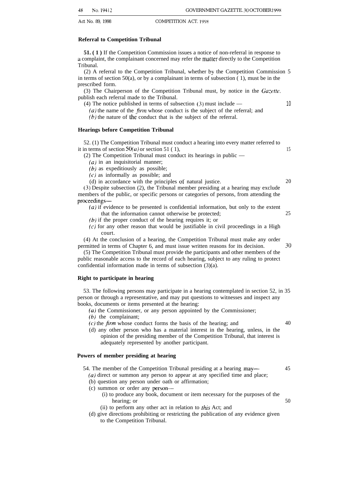#### **Referral to Competition Tribunal**

**51.** (1) If the Competition Commission issues a notice of non-referral in response to a complaint, the complainant concerned may refer the matter directly to the Competition Tribunal.

(2) A referral to the Competition Tribunal, whether by the Competition Commission 5 in terms of section 50(a), or by a complainant in terms of subsection  $(1)$ , must be in the prescribed form.

(3) The Chairperson of the Competition Tribunal must, by notice in the  $Gazette$ . publish each referral made to the Tribunal.

(4) The notice published in terms of subsection (3) must include — 10

 $(a)$  the name of the *firm* whose conduct is the subject of the referral; and (b) the nature of the conduct that is the subject of the referral.

#### **Hearings before Competition Tribunal**

52. (1) The Competition Tribunal must conduct a hearing into every matter referred to it in terms of section  $50(a)$  or section 51 ( 1), 15

(2) The Competition Tribunal must conduct its hearings in public —

 $(a)$  in an inquisitorial manner;

 $(b)$  as expeditiously as possible;

 $(c)$  as informally as possible; and

(d) in accordance with the principles of natural justice. 20

(3) Despite subsection (2), the Tribunal member presiding at a hearing may exclude members of the public, or specific persons or categories of persons, from attending the proceedings—

- (a) if evidence to be presented is confidential information, but only to the extent that the information cannot otherwise be protected; 25
- (b) if the proper conduct of the hearing requires it; or
- $(c)$  for any other reason that would be justifiable in civil proceedings in a High court.

(4) At the conclusion of a hearing, the Competition Tribunal must make any order permitted in terms of Chapter 6, and must issue written reasons for its decision. 30

(5) The Competition Tribunal must provide the participants and other members of the public reasonable access to the record of each hearing, subject to any ruling to protect confidential information made in terms of subsection (3)(a).

#### **Right to participate in hearing**

53. The following persons may participate in a hearing contemplated in section 52, in 35 person or through a representative, and may put questions to witnesses and inspect any books, documents or items presented at the hearing:

 $(a)$  the Commissioner, or any person appointed by the Commissioner;

(b) the complainant;

- $(c)$  the *firm* whose conduct forms the basis of the hearing; and  $40$
- (d) any other person who has a material interest in the hearing, unless, in the opinion of the presiding member of the Competition Tribunal, that interest is adequately represented by another participant.

#### **Powers of member presiding at hearing**

54. The member of the Competition Tribunal presiding at a hearing may— (a) direct or summon any person to appear at any specified time and place; 45

- (b) question any person under oath or affirmation;
- (c) summon or order any person—
	- (i) to produce any book, document or item necessary for the purposes of the hearing; or 50
	- (ii) to perform any other act in relation to this Act; and
- (d) give directions prohibiting or restricting the publication of any evidence given to the Competition Tribunal.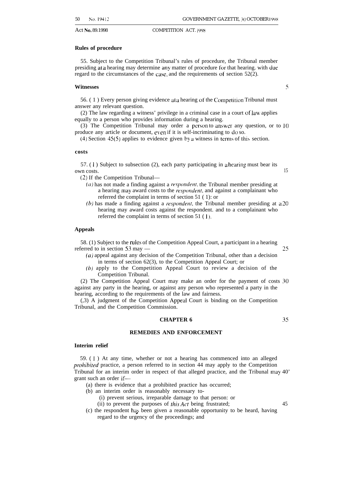#### **Rules of procedure**

55. Subject to the Competition Tribunal's rules of procedure, the Tribunal member presiding at a hearing may determine any matter of procedure for that hearing. with due regard to the circumstances of the case, and the requirements of section  $52(2)$ .

#### **Witnesses** <sup>5</sup>

56. (1) Every person giving evidence at a hearing of the Competition Tribunal must answer any relevant question.

(2) The law regarding a witness' privilege in a criminal case in a court of law applies equally to a person who provides information during a hearing.

(3) The Competition Tribunal may order a person to answer any question, or to  $10$ produce any article or document, even if it is self-incriminating to do so.

(4) Section 45(5) applies to evidence given by a witness in terms of this section.

#### **costs**

 $57.$  (1) Subject to subsection (2), each party participating in a hearing must bear its own costs. 15

(2) If the Competition Tribunal—

- $(a)$  has not made a finding against a *respondent*, the Tribunal member presiding at a hearing may award costs to the *respondent*, and against a complainant who referred the complaint in terms of section 51 ( 1): or
- (b) has made a finding against a *respondent*, the Tribunal member presiding at  $a20$ hearing may award costs against the respondent. and to a complainant who referred the complaint in terms of section 51 ( 1).

#### **Appeals**

58. (1) Subject to the rules of the Competition Appeal Court, a participant in a hearing referred to in section 53 may — 25

- $(a)$  appeal against any decision of the Competition Tribunal, other than a decision in terms of section 62(3), to the Competition Appeal Court; or
- (b) apply to the Competition Appeal Court to review a decision of the Competition Tribunal.

(2) The Competition Appeal Court may make an order for the payment of costs 30 against any party in the hearing, or against any person who represented a party in the hearing, according to the requirements of the law and fairness.

(,3) A judgment of the Competition Appeal Court is binding on the Competition Tribunal, and the Competition Commission.

#### **CHAPTER 6** 35

#### **REMEDIES AND ENFORCEMENT**

#### **Interim relief**

59. ( 1 ) At any time, whether or not a hearing has commenced into an alleged prohibited practice, a person referred to in section 44 may apply to the Competition Tribunal for an interim order in respect of that alleged practice, and the Tribunal **rmry** 40' grant such an order if—

- (a) there is evidence that a prohibited practice has occurred;
- (b) an interim order is reasonably necessary to-

(i) prevent serious, irreparable damage to that person: or

(ii) to prevent the purposes of *this Act* being frustrated;  $45$ 

(c) the respondent has been given a reasonable opportunity to be heard, having regard to the urgency of the proceedings; and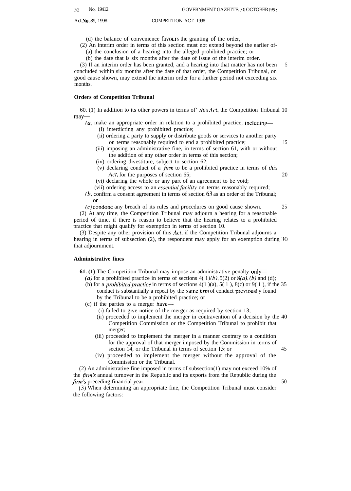(d) the balance of convenience favours the granting of the order,

(2) An interim order in terms of this section must not extend beyond the earlier of-

(a) the conclusion of a hearing into the alleged prohibited practice; or

(b) the date that is six months after the date of issue of the interim order.

(3) If an interim order has been granted, and a hearing into that matter has not been concluded within six months after the date of that order, the Competition Tribunal, on good cause shown, may extend the interim order for a further period not exceeding six months. 5

#### **Orders of Competition Tribunal**

60. (1) In addition to its other powers in terms of *this Act*, the Competition Tribunal 10 may-

(a) make an appropriate order in relation to a prohibited practice, including— (i) interdicting any prohibited practice;

- (ii) ordering a party to supply or distribute goods or services to another party on terms reasonably required to end a prohibited practice; 15
- (iii) imposing an administrative fine, in terms of section 61, with or without the addition of any other order in terms of this section;
- (iv) ordering divestiture, subject to section 62;
- (v) declaring conduct of a  $\lim_{h \to 0}$  to be a prohibited practice in terms of this Act, for the purposes of section 65; 20

(vi) declaring the whole or any part of an agreement to be void;

(vii) ordering access to an essential facility on terms reasonably required;

(b) confirm a consent agreement in terms of section 63 as an order of the Tribunal;  $\alpha$ r

 $(c)$  condone any breach of its rules and procedures on good cause shown. 25

(2) At any time, the Competition Tribunal may adjourn a hearing for a reasonable period of time, if there is reason to believe that the hearing relates to a prohibited practice that might qualify for exemption in terms of section 10.

(3) Despite any other provision of this Acr, if the Competition Tribunal adjourns a hearing in terms of subsection (2), the respondent may apply for an exemption during 30 that adjournment.

#### **Administrative fines**

**61. (1)** The Competition Tribunal may impose an administrative penalty only—

- (a) for a prohibited practice in terms of sections  $4(1)(b)$ ,  $5(2)$  or  $8(a)$ ,  $(b)$  and (d);
- (b) for a *prohibited practice* in terms of sections  $4(1)(a)$ ,  $5(1)$ ,  $8(c)$  or  $9(1)$ , if the 35 conduct is substantially a repeat by the same firm of conduct previously found by the Tribunal to be a prohibited practice; or
- (c) if the parties to a merger have—
	- (i) failed to give notice of the merger as required by section 13;
	- (ii) proceeded to implement the merger in contravention of a decision by the 40 Competition Commission or the Competition Tribunal to prohibit that merger;
	- (iii) proceeded to implement the merger in a manner contrary to a condition for the approval of that merger imposed by the Commission in terms of section 14, or the Tribunal in terms of section 15; or 45
	- (iv) proceeded to implement the merger without the approval of the Commission or the Tribunal.

(2) An administrative fine imposed in terms of subsection(1) may not exceed 10% of the *firm's* annual turnover in the Republic and its exports from the Republic during the firm's preceding financial year. 50

(3) When determining an appropriate fine, the Competition Tribunal must consider the following factors:

$$
f_{\rm{max}}
$$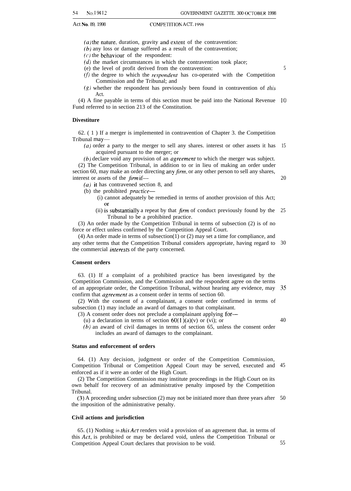$(a)$  the nature, duration, gravity and extent of the contravention:

(b) any loss or damage suffered as a result of the contravention;

 $(c)$  the behaviour of the respondent:

 $(d)$  the market circumstances in which the contravention took place;

(e) the level of profit derived from the contravention:

- $(f)$  the degree to which the *respondent* has co-operated with the Competition Commission and the Tribunal; and
- $(g)$  whether the respondent has previously been found in contravention of this Act.

(4) A fine payable in terms of this section must be paid into the National Revenue 10 Fund referred to in section 213 of the Constitution.

#### **Divestiture**

62. ( 1 ) If a merger is implemented in contravention of Chapter 3. the Competition Tribunal may—

 $(a)$  order a party to the merger to sell any shares. interest or other assets it has acquired pursuant to the merger; or 15

(b) declare void any provision of an *agreement* to which the merger was subject. (2) The Competition Tribunal, in addition to or in lieu of making an order under section 60, may make an order directing any  $\lim_{m \to \infty}$  or any other person to sell any shares, interest or assets of the *firm* if—

(a) it has contravened section 8, and

(b) the prohibited practice—

- (i) cannot adequately be remedied in terms of another provision of this Act; **or**
- (ii) is substantially a repeat by that  $\lim_{n \to \infty}$  of conduct previously found by the Tribunal to be a prohibited practice. 25

(3) An order made by the Competition Tribunal in terms of subsection (2) is of no force or effect unless confirmed by the Competition Appeal Court.

(4) An order made in terms of subsection(1) or (2) may set a time for compliance, and any other terms that the Competition Tribunal considers appropriate, having regard to 30 the commercial inrerests of the party concerned.

#### **Consent orders**

63. (1) If a complaint of a prohibited practice has been investigated by the Competition Commission, and the Commission and the respondent agree on the terms of an appropriate order, the Competition Tribunal, without hearing any evidence, may confirm that *agreement* as a consent order in terms of section 60. 35

(2) With the consent of a complainant, a consent order confirmed in terms of subsection (1) may include an award of damages to that complainant.

(3) A consent order does not preclude a complainant applying for—

(u) a declaration in terms of section  $60(1)(a)(v)$  or (vi); or

(b) an award of civil damages in terms of section 65, unless the consent order includes an award of damages to the complainant.

#### **Status and enforcement of orders**

64. (1) Any decision, judgment or order of the Competition Commission, Competition Tribunal or Competition Appeal Court may be served, executed and 45 enforced as if it were an order of the High Court.

(2) The Competition Commission may institute proceedings in the High Court on its own behalf for recovery of an administrative penalty imposed by the Competition Tribunal.

(3) A proceeding under subsection (2) may not be initiated more than three years after 50 the imposition of the administrative penalty.

#### **Civil actions and jurisdiction**

65. (1) Nothing in this Acf renders void a provision of an agreement that. in terms of this Acf, is prohibited or may be declared void, unless the Competition Tribunal or Competition Appeal Court declares that provision to be void. 55

5

20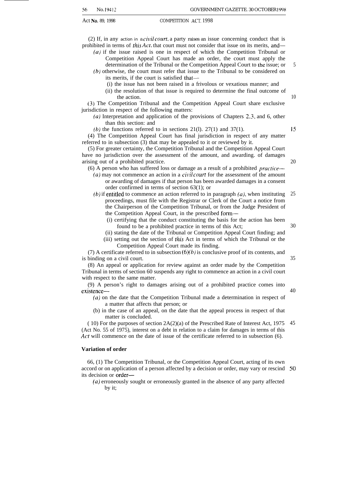(2) If, in any action in a *civil court*, a party raises an issue concerning conduct that is prohibited in terms of *this Act*, that court must not consider that issue on its merits, and—

 $(a)$  if the issue raised is one in respect of which the Competition Tribunal or

Competition Appeal Court has made an order, the court must apply the determination of the Tribunal or the Competition Appeal Court to the issue; or

(b) otherwise, the court must refer that issue to the Tribunal to be considered on its merits, if the court is satisfied that—

- (i) the issue has not been raised in a frivolous or vexatious manner; and
- (ii) the resolution of that issue is required to determine the final outcome of the action.

(3) The Competition Tribunal and the Competition Appeal Court share exclusive jurisdiction in respect of the following matters:

(a) Interpretation and application of the provisions of Chapters 2, 3, and 6, other than this section: and

(b) the functions referred to in sections 21(1). 27(1) and 37(1).

(4) The Competition Appeal Court has final jurisdiction in respect of any matter referred to in subsection (3) that may be appealed to it or reviewed by it.

(5) For greater certainty, the Competition Tribunal and the Competition Appeal Court have no jurisdiction over the assessment of the amount, and awarding. of damages arising out of a prohibited practice.

(6) A person who has suffered loss or damage as a result of a prohibited practice—

- $(a)$  may not commence an action in a *civil court* for the assessment of the amount or awarding of damages if that person has been awarded damages in a consent order confirmed in terms of section 63(1); or
- (b) if entitled to commence an action referred to in paragraph  $(a)$ , when instituting 25 proceedings, must file with the Registrar or Clerk of the Court a notice from the Chairperson of the Competition Tribunal, or from the Judge President of the Competition Appeal Court, in the prescribed form-
	- (i) certifying that the conduct constituting the basis for the action has been found to be a prohibited practice in terms of this Act;
- 30

35

40

(ii) stating the date of the Tribunal or Competition Appeal Court finding; and (iii) setting out the section of *this* Act in terms of which the Tribunal or the Competition Appeal Court made its finding.

(7) A certificate referred to in subsection  $(6)(b)$  is conclusive proof of its contents, and is binding on a civil court.

(8) An appeal or application for review against an order made by the Competition Tribunal in terms of section 60 suspends any right to commence an action in a civil court with respect to the same matter.

(9) A person's right to damages arising out of a prohibited practice comes into existence—

- (a) on the date that the Competition Tribunal made a determination in respect of a matter that affects that person; or
- (b) in the case of an appeal, on the date that the appeal process in respect of that matter is concluded.

( 10) For the purposes of section 2A(2)(a) of the Prescribed Rate of Interest Act, 1975 45 (Act No. 55 of 1975), interest on a debt in relation to a claim for damages in terms of this Act will commence on the date of issue of the certificate referred to in subsection (6).

#### **Variation of order**

66, (1) The Competition Tribunal, or the Competition Appeal Court, acting of its own accord or on application of a person affected by a decision or order, may vary or rescind 50its decision or order—

(a) erroneously sought or erroneously granted in the absence of any party affected by it;

10

15

20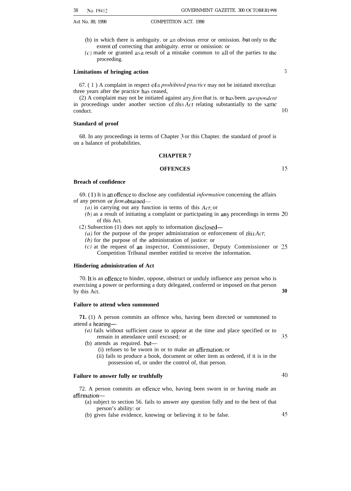- Act No. 89, 1998 COMPETITION ACT. 1998
	- (b) in which there is ambiguity. or an obvious error or omission. but only to the extent of correcting that ambiguity. error or omission: or
	- $(c)$  made or granted as a result of a mistake common to all of the parties to the proceeding.

#### **Limitations of bringing action**

67.  $(1)$  A complaint in respect of a *prohibited practice* may not be initiated more than three years after the practice has ceased,

(2) A complaint may not be initiated against any  $\hat{r}$ *im* that is. or has been. a *respondent* in proceedings under another section of *this Act* relating substantially to the same conduct.

#### **Standard of proof**

68. In any proceedings in terms of Chapter 3 or this Chapter. the standard of proof is on a balance of probabilities.

#### **CHAPTER 7**

#### **OFFENCES**

Is

40

#### **Breach of confidence**

69. (1) It is an offence to disclose any confidential *information* concerning the affairs of any person or *firm* obtained—

- (a) in carrying out any function in terms of this  $Act$ ; or
- (b) as a result of initiating a complaint or participating in any proceedings in terms 20 of this Act.
- (2) Subsection (1) does not apply to information disclosed—
	- $(a)$  for the purpose of the proper administration or enforcement of *this Act*;
	- $(b)$  for the purpose of the administration of justice: or
	- (c) at the request of an inspector, Commissioner, Deputy Commissioner or 25 Competition Tribunal member entitled to receive the information.

#### **Hindering administration of Act**

70. It is an offence to hinder, oppose, obstruct or unduly influence any person who is exercising a power or performing a duty delegated, conferred or imposed on that person by this Act. **30** 

#### **Failure to attend when summoned**

**71.** (1) A person commits an offence who, having been directed or summoned to attend a hearing—

- (a) fails without sufficient cause to appear at the time and place specified or to remain in attendance until excused; or 35
- (b) attends as required. but—
	- (i) refuses to be sworn in or to make an atlirmation: or
	- (ii) fails to produce a book, document or other item as ordered, if it is in the possession of, or under the control of, that person.

#### **Failure to answer fully or truthfully**

72. A person commits an offence who, having been sworn in or having made an affirrnation—

- (a) subject to section 56. fails to answer any question fully and to the best of that person's ability: or
- (b) gives false evidence, knowing or believing it to be false. 45

10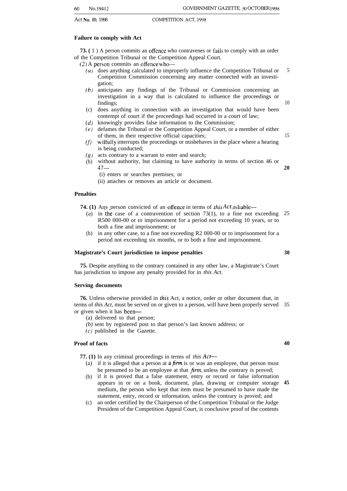#### **Failure to comply with Act**

**73. (** 1 ) A person commits an offence who contravenes or fails to comply with an order of the Competition Tribunal or the Competition Appeal Court.

- $(2)$  A person commits an offence who-
	- (a) does anything calculated to improperly influence the Competition Tribunal or Competition Commission concerning any matter connected with an investigation;
	- (b) anticipates any findings of the Tribunal or Commission concerning an investigation in a way that is calculated to influence the proceedings or findings;
	- (c) does anything in connection with an investigation that would have been contempt of court if the proceedings had occurred in a court of law;
	- (d) knowingly provides false information to the Commission;
	- (e) defames the Tribunal or the Competition Appeal Court, or a member of either of them, in their respective official capacities;
	- (f) wilfully interrupts the proceedings or misbehaves in the place where a hearing is being conducted;
	- (g) acts contrary to a warrant to enter and search;
	- (h) without authority, but claiming to have authority in terms of section 46 or 47— **20**
		- (i) enters or searches premises; or
		- (ii) attaches or removes an article or document.

#### **Penalties**

**74. (1)** Any person convicted of an offence in terms of this Act, is liable—

- (a) in the case of a contravention of section  $73(1)$ , to a fine not exceeding 25 R500 000-00 or to imprisonment for a period not exceeding 10 years, or to both a fine and imprisonment; or
- (b) in any other case, to a fine not exceeding R2 000-00 or to imprisonment for a period not exceeding six months, or to both a fine and imprisonment.

#### **Magistrate's Court jurisdiction to impose penalties**

**75.** Despite anything to the contrary contained in any other law, a Magistrate's Court has jurisdiction to impose any penalty provided for in *this Act.*

#### **Serving documents**

**76.** Unless otherwise provided in this Act, a notice, order or other document that, in terms of *this Act,* must be served on or given to a person, will have been properly served 35 or given when it has been—

- (a) delivered to that person;
- *(b)* sent by registered post to that person's last known address; or
- (c) published in the Gazette.

#### **Proof of facts**

**77. (1)** In any criminal proceedings in terms of *this Acr—*

- (a) if it is alleged that a person at a firm is or was an employee, that person must be presumed to be an employee at that *jirm,* unless the contrary is proved;
- (b) if it is proved that a false statement, entry or record or false information appears in or on a book, document, plan, drawing or computer storage medium, the person who kept that item must be presumed to have made the statement, entry, record or information, unless the contrary is proved; and **45**
- $(c)$ an order certified by the Chairperson of the Competition Tribunal or the Judge President of the Competition Appeal Court, is conclusive proof of the contents

5

10

15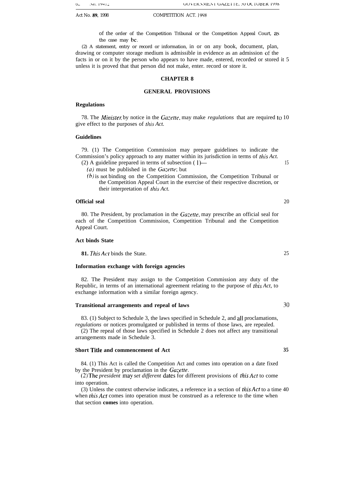of the order of the Competition Tribunal or the Competition Appeal Court, as the case may be.

(2) A statement, entry or record or information, in or on any book, document, plan, drawing or computer storage medium is admissible in evidence as an admission of the facts in or on it by the person who appears to have made, entered, recorded or stored it 5 unless it is proved that that person did not make, enter. record or store it.

#### **CHAPTER 8**

#### **GENERAL PROVISIONS**

#### **Regulations**

78. The *Minister*, by notice in the *Gazette*, may make *regulations* that are required to 10 give effect to the purposes of rhis *Act.*

#### **Guidelines**

79. (1) The Competition Commission may prepare guidelines to indicate the Commission's policy approach to any matter within its jurisdiction in terms of *this Act.* (2) A guideline prepared in terms of subsection ( l)— 15

- 
- *(a)* must be published in the *Ga:erte;* but
- (b) is not binding on the Competition Commission, the Competition Tribunal or the Competition Appeal Court in the exercise of their respective discretion, or their interpretation of this Act.

#### **Official seal** 20

80. The President, by proclamation in the Gazette, may prescribe an official seal for each of the Competition Commission, Competition Tribunal and the Competition Appeal Court.

#### **Act binds State**

**81.** *This Act* binds the State. 25

#### **Information exchange with foreign agencies**

82. The President may assign to the Competition Commission any duty of the Republic, in terms of an international agreement relating to the purpose of *fhis Act,* to exchange information with a similar foreign agency.

#### **Transitional arrangements and repeal of laws 30**

83. (1) Subject to Schedule 3, the laws specified in Schedule 2, and all proclamations, *regulations* or notices promulgated or published in terms of those laws, are repealed.

(2) The repeal of those laws specified in Schedule 2 does not affect any transitional arrangements made in Schedule 3.

#### **Short Title and commencement of Act 35**

84. (1) This Act is called the Competition Act and comes into operation on a date fixed by the President by proclamation in the *Gazefte.*

*(2) The president may set different dates* for different provisions of this *Act* to come into operation.

(3) Unless the context otherwise indicates, a reference in a section of *[his Act* to a time 40 when *rhis Acr* comes into operation must be construed as a reference to the time when that section **comes** into operation.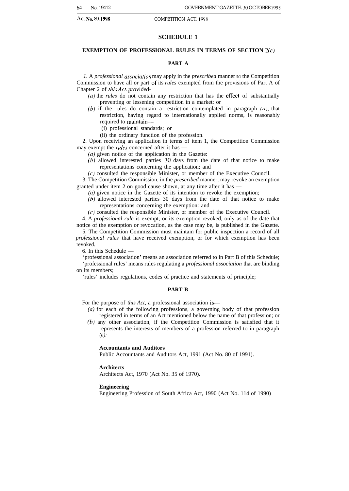#### **SCHEDULE 1**

#### **EXEMPTION OF PROFESSIONAL RULES IN TERMS OF SECTION Z(C)**

#### **PART A**

1. A *professional association* may apply in the *prescribed* manner to the Competition Commission to have all or part of its *rules* exempted from the provisions of Part A of Chapter 2 of *this Act,* provided—

(a) the *rules* do not contain any restriction that has the effect of substantially preventing or lessening competition in a market: or

 $(b)$  if the rules do contain a restriction contemplated in paragraph  $(a)$ , that restriction, having regard to internationally applied norms, is reasonably required to maintain—

(i) professional standards; or

(ii) the ordinary function of the profession.

2. Upon receiving an application in terms of item 1, the Competition Commission may exempt the *ruies* concerned after it has —

*(a)* given notice of the application in the Gazette:

(b) allowed interested parties 30 days from the date of that notice to make representations concerning the application; and

 $(c)$  consulted the responsible Minister, or member of the Executive Council.

3. The Competition Commission, in the *prescribed* manner, may revoke an exemption granted under item 2 on good cause shown, at any time after it has —

*(a)* given notice in the Gazette of its intention to revoke the exemption;

(b) allowed interested parties 30 days from the date of that notice to make representations concerning the exemption: and

(c) consulted the responsible Minister, or member of the Executive Council.

4. A *professional rule is* exempt, or its exemption revoked, only as of the date that notice of the exemption or revocation, as the case may be, is published in the Gazette.

5. The Competition Commission must maintain for public inspection a record of all *professional rules* that have received exemption, or for which exemption has been revoked.

6. In this Schedule —

'professional association' means an association referred to in Part B of this Schedule; 'professional rules' means rules regulating a *professional association* that are binding on its members;

'rules' includes regulations, codes of practice and statements of principle;

#### **PART B**

For the purpose of *this Act*, a professional association is—

- *(a)* for each of the following professions, a governing body of that profession registered in terms of an Act mentioned below the name of that profession; or
- *(b)* any other association, if the Competition Commission is satisfied that it represents the interests of members of a profession referred to in paragraph *(a):*

#### **Accountants and Auditors**

Public Accountants and Auditors Act, 1991 (Act No. 80 of 1991).

#### **Architects**

Architects Act, 1970 (Act No. 35 of 1970).

#### **Engineering**

Engineering Profession of South Africa Act, 1990 (Act No. 114 of 1990)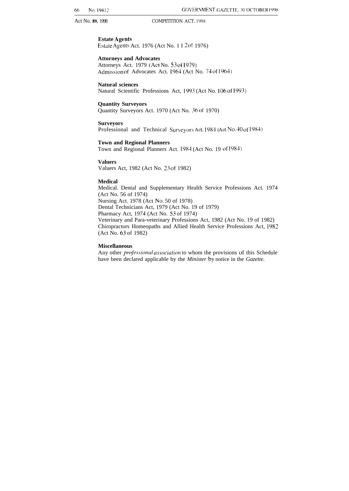**Estate Agents** Estate Agents Act. 1976 (Act No. 1 I 2 of 1976)

**Attorneys and Advocates** Attorneys Act. 1979 (Act No. 53 of 1979)

Admission of Advocates Act. 1964 (Act No. 74 of 1964)

**Natural sciences** Natural Scientific Professions Act, 1993 (Act No. 106 of 1993)

**Quantity Surveyors**

Quantity Surveyors Act. 1970 (Act No. 36 of 1970)

**Surveyors**

Professional and Technical Surveyors Act. 1984 (Act No. 40 of 1984)

**Town and Regional Planners**

Town and Regional Planners Act. 1984 (Act No. 19 of 1984)

**Valuers**

Valuers Act, 1982 (Act No. 23 of 1982)

#### **Medical**

Medical. Dental and Supplementary Health Service Professions Act. 1974 (Act No. 56 of 1974) Nursing Act. 1978 (Act No, 50 of 1978) Dental Technicians Act, 1979 (Act No. 19 of 1979) Pharmacy Act, 1974 (Act No. 53 of 1974) Veterinary and Para-veterinary Professions Act, 1982 (Act No. 19 of 1982) Chiropractors Homeopaths and Allied Health Service Professions Act, 1982 (Act No. 63 of 1982)

#### **Miscellaneous**

Any other *professional association* to whom the provisions of this Schedule have been declared applicable by the *Minister* by notice in the *Gazette.*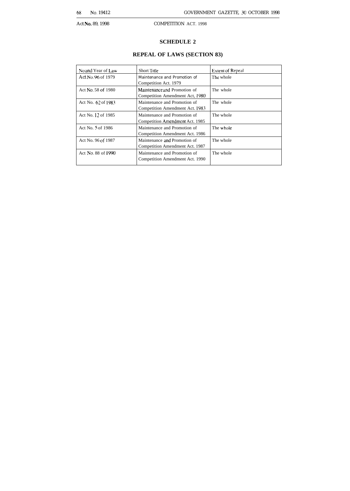#### **SCHEDULE 2**

### **REPEAL OF LAWS (SECTION 83)**

| No and Year of Law | <b>Short Title</b>                                              | <b>Extent of Repeal</b> |
|--------------------|-----------------------------------------------------------------|-------------------------|
| Act No. 96 of 1979 | Maintenance and Promotion of<br>Competition Act. 1979           | The whole               |
| Act No. 58 of 1980 | Maintenance and Promotion of<br>Competition Amendment Act, 1980 | The whole               |
| Act No. 62 of 1983 | Maintenance and Promotion of<br>Competition Amendment Act. 1983 | The whole               |
| Act No. 12 of 1985 | Maintenance and Promotion of<br>Competition Amendment Act. 1985 | The whole               |
| Act No. 5 of 1986  | Maintenance and Promotion of<br>Competition Amendment Act. 1986 | The whole               |
| Act No. 96 of 1987 | Maintenance and Promotion of<br>Competition Amendment Act. 1987 | The whole               |
| Act No. 88 of 1990 | Maintenance and Promotion of<br>Competition Amendment Act. 1990 | The whole               |